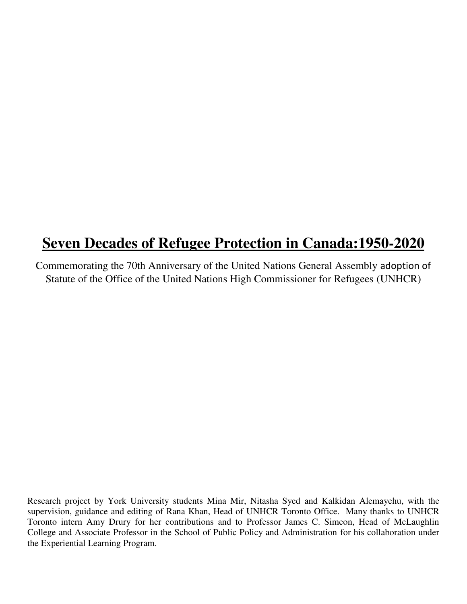# **Seven Decades of Refugee Protection in Canada:1950-2020**

Commemorating the 70th Anniversary of the United Nations General Assembly adoption of Statute of the Office of the United Nations High Commissioner for Refugees (UNHCR)

Research project by York University students Mina Mir, Nitasha Syed and Kalkidan Alemayehu, with the supervision, guidance and editing of Rana Khan, Head of UNHCR Toronto Office. Many thanks to UNHCR Toronto intern Amy Drury for her contributions and to Professor James C. Simeon, Head of McLaughlin College and Associate Professor in the School of Public Policy and Administration for his collaboration under the Experiential Learning Program.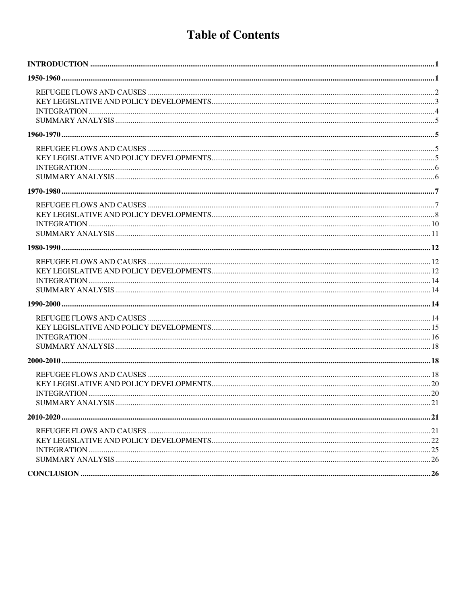## **Table of Contents**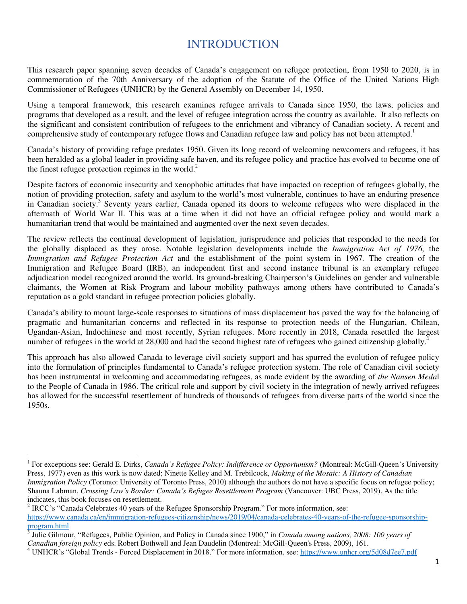## INTRODUCTION

<span id="page-2-0"></span>This research paper spanning seven decades of Canada's engagement on refugee protection, from 1950 to 2020, is in commemoration of the 70th Anniversary of the adoption of the Statute of the Office of the United Nations High Commissioner of Refugees (UNHCR) by the General Assembly on December 14, 1950.

Using a temporal framework, this research examines refugee arrivals to Canada since 1950, the laws, policies and programs that developed as a result, and the level of refugee integration across the country as available. It also reflects on the significant and consistent contribution of refugees to the enrichment and vibrancy of Canadian society. A recent and comprehensive study of contemporary refugee flows and Canadian refugee law and policy has not been attempted.<sup>1</sup>

Canada's history of providing refuge predates 1950. Given its long record of welcoming newcomers and refugees, it has been heralded as a global leader in providing safe haven, and its refugee policy and practice has evolved to become one of the finest refugee protection regimes in the world. $2$ 

Despite factors of economic insecurity and xenophobic attitudes that have impacted on reception of refugees globally, the notion of providing protection, safety and asylum to the world's most vulnerable, continues to have an enduring presence in Canadian society.<sup>3</sup> Seventy years earlier, Canada opened its doors to welcome refugees who were displaced in the aftermath of World War II. This was at a time when it did not have an official refugee policy and would mark a humanitarian trend that would be maintained and augmented over the next seven decades.

The review reflects the continual development of legislation, jurisprudence and policies that responded to the needs for the globally displaced as they arose. Notable legislation developments include the *Immigration Act of 1976,* the *Immigration and Refugee Protection Act* and the establishment of the point system in 1967*.* The creation of the Immigration and Refugee Board (IRB), an independent first and second instance tribunal is an exemplary refugee adjudication model recognized around the world. Its ground-breaking Chairperson's Guidelines on gender and vulnerable claimants, the Women at Risk Program and labour mobility pathways among others have contributed to Canada's reputation as a gold standard in refugee protection policies globally.

Canada's ability to mount large-scale responses to situations of mass displacement has paved the way for the balancing of pragmatic and humanitarian concerns and reflected in its response to protection needs of the Hungarian, Chilean, Ugandan-Asian, Indochinese and most recently, Syrian refugees. More recently in 2018, Canada resettled the largest number of refugees in the world at 28,000 and had the second highest rate of refugees who gained citizenship globally.<sup>4</sup>

<span id="page-2-1"></span>This approach has also allowed Canada to leverage civil society support and has spurred the evolution of refugee policy into the formulation of principles fundamental to Canada's refugee protection system. The role of Canadian civil society has been instrumental in welcoming and accommodating refugees, as made evident by the awarding of *the Nansen Meda*l to the People of Canada in 1986. The critical role and support by civil society in the integration of newly arrived refugees has allowed for the successful resettlement of hundreds of thousands of refugees from diverse parts of the world since the 1950s.

<sup>&</sup>lt;sup>1</sup> For exceptions see: Gerald E. Dirks, *Canada's Refugee Policy: Indifference or Opportunism?* (Montreal: McGill-Queen's University Press, 1977) even as this work is now dated; Ninette Kelley and M. Trebilcock, *Making of the Mosaic: A History of Canadian Immigration Policy* (Toronto: University of Toronto Press, 2010) although the authors do not have a specific focus on refugee policy; Shauna Labman, *Crossing Law's Border: Canada's Refugee Resettlement Program* (Vancouver: UBC Press, 2019). As the title indicates, this book focuses on resettlement.

<sup>2</sup> IRCC's "Canada Celebrates 40 years of the Refugee Sponsorship Program." For more information, see: [https://www.canada.ca/en/immigration-refugees-citizenship/news/2019/04/canada-celebrates-40-years-of-the-refugee-sponsorship](https://www.canada.ca/en/immigration-refugees-citizenship/news/2019/04/canada-celebrates-40-years-of-the-refugee-sponsorship-program.html)[program.html](https://www.canada.ca/en/immigration-refugees-citizenship/news/2019/04/canada-celebrates-40-years-of-the-refugee-sponsorship-program.html)

<sup>3</sup> Julie Gilmour, "Refugees, Public Opinion, and Policy in Canada since 1900," in *Canada among nations, 2008: 100 years of Canadian foreign policy* eds. Robert Bothwell and Jean Daudelin (Montreal: McGill-Queen's Press, 2009), 161.

<sup>&</sup>lt;sup>4</sup> UNHCR's "Global Trends - Forced Displacement in 2018." For more information, see:<https://www.unhcr.org/5d08d7ee7.pdf>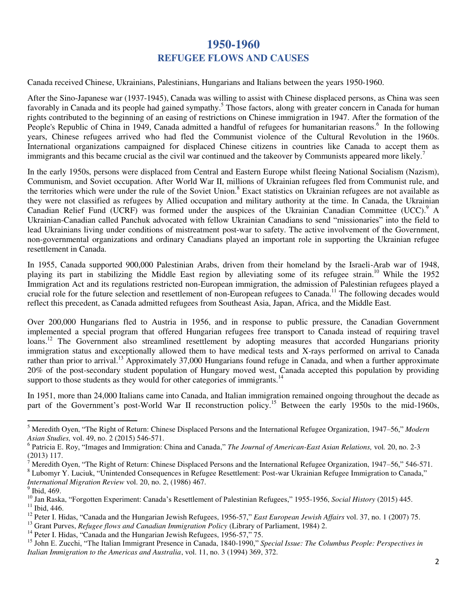## **1950-1960 REFUGEE FLOWS AND CAUSES**

<span id="page-3-0"></span>Canada received Chinese, Ukrainians, Palestinians, Hungarians and Italians between the years 1950-1960.

After the Sino-Japanese war (1937-1945), Canada was willing to assist with Chinese displaced persons, as China was seen favorably in Canada and its people had gained sympathy.<sup>5</sup> Those factors, along with greater concern in Canada for human rights contributed to the beginning of an easing of restrictions on Chinese immigration in 1947. After the formation of the People's Republic of China in 1949, Canada admitted a handful of refugees for humanitarian reasons.<sup>6</sup> In the following years, Chinese refugees arrived who had fled the Communist violence of the Cultural Revolution in the 1960s. International organizations campaigned for displaced Chinese citizens in countries like Canada to accept them as immigrants and this became crucial as the civil war continued and the takeover by Communists appeared more likely.<sup>7</sup>

In the early 1950s, persons were displaced from Central and Eastern Europe whilst fleeing National Socialism (Nazism), Communism, and Soviet occupation. After World War II, millions of Ukrainian refugees fled from Communist rule, and the territories which were under the rule of the Soviet Union.<sup>8</sup> Exact statistics on Ukrainian refugees are not available as they were not classified as refugees by Allied occupation and military authority at the time. In Canada, the Ukrainian Canadian Relief Fund (UCRF) was formed under the auspices of the Ukrainian Canadian Committee (UCC).<sup>9</sup> A Ukrainian-Canadian called Panchuk advocated with fellow Ukrainian Canadians to send "missionaries" into the field to lead Ukrainians living under conditions of mistreatment post-war to safety. The active involvement of the Government, non-governmental organizations and ordinary Canadians played an important role in supporting the Ukrainian refugee resettlement in Canada.

In 1955, Canada supported 900,000 Palestinian Arabs, driven from their homeland by the Israeli-Arab war of 1948, playing its part in stabilizing the Middle East region by alleviating some of its refugee strain.<sup>10</sup> While the 1952 Immigration Act and its regulations restricted non-European immigration, the admission of Palestinian refugees played a crucial role for the future selection and resettlement of non-European refugees to Canada.<sup>11</sup> The following decades would reflect this precedent, as Canada admitted refugees from Southeast Asia, Japan, Africa, and the Middle East.

Over 200,000 Hungarians fled to Austria in 1956, and in response to public pressure, the Canadian Government implemented a special program that offered Hungarian refugees free transport to Canada instead of requiring travel loans.<sup>12</sup> The Government also streamlined resettlement by adopting measures that accorded Hungarians priority immigration status and exceptionally allowed them to have medical tests and X-rays performed on arrival to Canada rather than prior to arrival.<sup>13</sup> Approximately 37,000 Hungarians found refuge in Canada, and when a further approximate 20% of the post-secondary student population of Hungary moved west, Canada accepted this population by providing support to those students as they would for other categories of immigrants.<sup>14</sup>

In 1951, more than 24,000 Italians came into Canada, and Italian immigration remained ongoing throughout the decade as part of the Government's post-World War II reconstruction policy.<sup>15</sup> Between the early 1950s to the mid-1960s,

7 Meredith Oyen, "The Right of Return: Chinese Displaced Persons and the International Refugee Organization, 1947–56," 546-571.

-

<sup>5</sup> Meredith Oyen, "The Right of Return: Chinese Displaced Persons and the International Refugee Organization, 1947–56," *Modern Asian Studies,* vol. 49, no. 2 (2015) 546-571.

<sup>6</sup> Patricia E. Roy, "Images and Immigration: China and Canada," *The Journal of American-East Asian Relations,* vol*.* 20, no. 2-3 (2013) 117.

<sup>&</sup>lt;sup>8</sup> Lubomyr Y. Luciuk, "Unintended Consequences in Refugee Resettlement: Post-war Ukrainian Refugee Immigration to Canada," *International Migration Review* vol. 20, no. 2, (1986) 467.

<sup>&</sup>lt;sup>9</sup> Ibid, 469.

<sup>10</sup> Jan Raska, "Forgotten Experiment: Canada's Resettlement of Palestinian Refugees," 1955-1956, *Social History* (2015) 445.  $11$  Ibid, 446.

<sup>12</sup> Peter I. Hidas, "Canada and the Hungarian Jewish Refugees, 1956-57," *East European Jewish Affairs* vol. 37, no. 1 (2007) 75.

<sup>13</sup> Grant Purves, *Refugee flows and Canadian Immigration Policy* (Library of Parliament, 1984) 2.

<sup>&</sup>lt;sup>14</sup> Peter I. Hidas, "Canada and the Hungarian Jewish Refugees, 1956-57," 75.

<sup>15</sup> John E. Zucchi, "The Italian Immigrant Presence in Canada, 1840-1990," *Special Issue: The Columbus People: Perspectives in Italian Immigration to the Americas and Australia*, vol. 11, no. 3 (1994) 369, 372.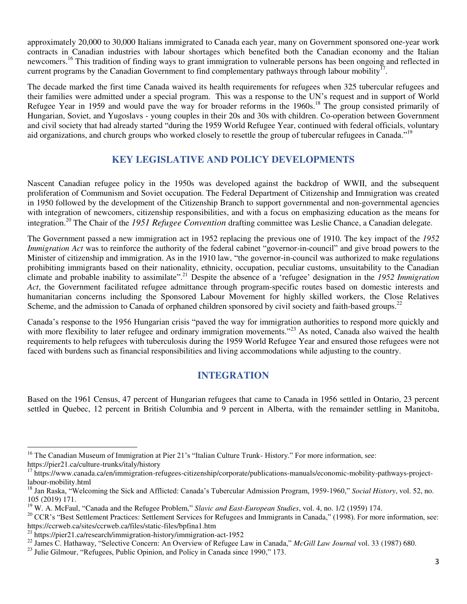approximately 20,000 to 30,000 Italians immigrated to Canada each year, many on Government sponsored one-year work contracts in Canadian industries with labour shortages which benefited both the Canadian economy and the Italian newcomers.<sup>16</sup> This tradition of finding ways to grant immigration to vulnerable persons has been ongoing and reflected in current programs by the Canadian Government to find complementary pathways through labour mobility<sup>17</sup>.

The decade marked the first time Canada waived its health requirements for refugees when 325 tubercular refugees and their families were admitted under a special program. This was a response to the UN's request and in support of World Refugee Year in 1959 and would pave the way for broader reforms in the 1960s.<sup>18</sup> The group consisted primarily of Hungarian, Soviet, and Yugoslavs - young couples in their 20s and 30s with children. Co-operation between Government and civil society that had already started "during the 1959 World Refugee Year, continued with federal officials, voluntary aid organizations, and church groups who worked closely to resettle the group of tubercular refugees in Canada."<sup>19</sup>

#### <span id="page-4-0"></span>**KEY LEGISLATIVE AND POLICY DEVELOPMENTS**

Nascent Canadian refugee policy in the 1950s was developed against the backdrop of WWII, and the subsequent proliferation of Communism and Soviet occupation. The Federal Department of Citizenship and Immigration was created in 1950 followed by the development of the Citizenship Branch to support governmental and non-governmental agencies with integration of newcomers, citizenship responsibilities, and with a focus on emphasizing education as the means for integration.<sup>20</sup> The Chair of the *1951 Refugee Convention* drafting committee was Leslie Chance, a Canadian delegate.

The Government passed a new immigration act in 1952 replacing the previous one of 1910. The key impact of the *1952 Immigration Act* was to reinforce the authority of the federal cabinet "governor-in-council" and give broad powers to the Minister of citizenship and immigration. As in the 1910 law, "the governor-in-council was authorized to make regulations prohibiting immigrants based on their nationality, ethnicity, occupation, peculiar customs, unsuitability to the Canadian climate and probable inability to assimilate". <sup>21</sup> Despite the absence of a 'refugee' designation in the *1952 Immigration Act*, the Government facilitated refugee admittance through program-specific routes based on domestic interests and humanitarian concerns including the Sponsored Labour Movement for highly skilled workers, the Close Relatives Scheme, and the admission to Canada of orphaned children sponsored by civil society and faith-based groups.<sup>22</sup>

Canada's response to the 1956 Hungarian crisis "paved the way for immigration authorities to respond more quickly and with more flexibility to later refugee and ordinary immigration movements."<sup>23</sup> As noted, Canada also waived the health requirements to help refugees with tuberculosis during the 1959 World Refugee Year and ensured those refugees were not faced with burdens such as financial responsibilities and living accommodations while adjusting to the country.

#### **INTEGRATION**

<span id="page-4-1"></span>Based on the 1961 Census, 47 percent of Hungarian refugees that came to Canada in 1956 settled in Ontario, 23 percent settled in Quebec, 12 percent in British Columbia and 9 percent in Alberta, with the remainder settling in Manitoba,

 $\overline{a}$ <sup>16</sup> The Canadian Museum of Immigration at Pier 21's "Italian Culture Trunk- History." For more information, see: https://pier21.ca/culture-trunks/italy/history

<sup>&</sup>lt;sup>17</sup> https://www.canada.ca/en/immigration-refugees-citizenship/corporate/publications-manuals/economic-mobility-pathways-projectlabour-mobility.html

<sup>18</sup> Jan Raska, "Welcoming the Sick and Afflicted: Canada's Tubercular Admission Program, 1959-1960," *Social History*, vol. 52, no. 105 (2019) 171.

<sup>19</sup> W. A. McFaul, "Canada and the Refugee Problem," *Slavic and East-European Studies*, vol. 4, no. 1/2 (1959) 174.

<sup>&</sup>lt;sup>20</sup> CCR's "Best Settlement Practices: Settlement Services for Refugees and Immigrants in Canada," (1998). For more information, see: https://ccrweb.ca/sites/ccrweb.ca/files/static-files/bpfina1.htm

 $^{21}$  https://pier21.ca/research/immigration-history/immigration-act-1952

<sup>22</sup> James C. Hathaway, "Selective Concern: An Overview of Refugee Law in Canada," *McGill Law Journal* vol. 33 (1987) 680.

<sup>&</sup>lt;sup>23</sup> Julie Gilmour, "Refugees, Public Opinion, and Policy in Canada since 1990," 173.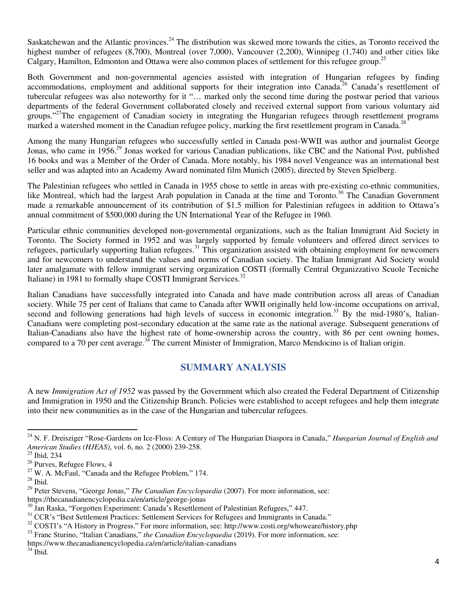Saskatchewan and the Atlantic provinces.<sup>24</sup> The distribution was skewed more towards the cities, as Toronto received the highest number of refugees (8,700), Montreal (over 7,000), Vancouver (2,200), Winnipeg (1,740) and other cities like Calgary, Hamilton, Edmonton and Ottawa were also common places of settlement for this refugee group.<sup>25</sup>

Both Government and non-governmental agencies assisted with integration of Hungarian refugees by finding accommodations, employment and additional supports for their integration into Canada.<sup>26</sup> Canada's resettlement of tubercular refugees was also noteworthy for it "… marked only the second time during the postwar period that various departments of the federal Government collaborated closely and received external support from various voluntary aid groups."<sup>27</sup>The engagement of Canadian society in integrating the Hungarian refugees through resettlement programs marked a watershed moment in the Canadian refugee policy, marking the first resettlement program in Canada.<sup>2</sup>

Among the many Hungarian refugees who successfully settled in Canada post-WWII was author and journalist George Jonas, who came in 1956.<sup>29</sup> Jonas worked for various Canadian publications, like CBC and the National Post, published 16 books and was a Member of the Order of Canada. More notably, his 1984 novel Vengeance was an international best seller and was adapted into an Academy Award nominated film Munich (2005), directed by Steven Spielberg.

The Palestinian refugees who settled in Canada in 1955 chose to settle in areas with pre-existing co-ethnic communities, like Montreal, which had the largest Arab population in Canada at the time and Toronto.<sup>30</sup> The Canadian Government made a remarkable announcement of its contribution of \$1.5 million for Palestinian refugees in addition to Ottawa's annual commitment of \$500,000 during the UN International Year of the Refugee in 1960.

Particular ethnic communities developed non-governmental organizations, such as the Italian Immigrant Aid Society in Toronto. The Society formed in 1952 and was largely supported by female volunteers and offered direct services to refugees, particularly supporting Italian refugees.<sup>31</sup> This organization assisted with obtaining employment for newcomers and for newcomers to understand the values and norms of Canadian society. The Italian Immigrant Aid Society would later amalgamate with fellow immigrant serving organization COSTI (formally Central Organizzativo Scuole Tecniche Italiane) in 1981 to formally shape COSTI Immigrant Services.<sup>32</sup>

Italian Canadians have successfully integrated into Canada and have made contribution across all areas of Canadian society. While 75 per cent of Italians that came to Canada after WWII originally held low-income occupations on arrival, second and following generations had high levels of success in economic integration.<sup>33</sup> By the mid-1980's, Italian-Canadians were completing post-secondary education at the same rate as the national average. Subsequent generations of Italian-Canadians also have the highest rate of home-ownership across the country, with 86 per cent owning homes, compared to a 70 per cent average.<sup>34</sup> The current Minister of Immigration, Marco Mendocino is of Italian origin.

#### **SUMMARY ANALYSIS**

<span id="page-5-0"></span>A new *Immigration Act of 1952* was passed by the Government which also created the Federal Department of Citizenship and Immigration in 1950 and the Citizenship Branch. Policies were established to accept refugees and help them integrate into their new communities as in the case of the Hungarian and tubercular refugees.

<sup>24</sup> N. F. Dreisziger "Rose-Gardens on Ice-Floss: A Century of The Hungarian Diaspora in Canada," *Hungarian Journal of English and American Studies (HJEAS)*, vol. 6, no. 2 (2000) 239-258.

<sup>&</sup>lt;sup>25</sup> Ibid, 234

<sup>26</sup> Purves, Refugee Flows, 4

 $27$  W. A. McFaul, "Canada and the Refugee Problem," 174.

 $^\mathrm{28}$  Ibid.

<sup>&</sup>lt;sup>29</sup> Peter Stevens, "George Jonas," *The Canadian Encyclopaedia* (2007). For more information, see:

https://thecanadianencyclopedia.ca/en/article/george-jonas

<sup>30</sup> Jan Raska, "Forgotten Experiment: Canada's Resettlement of Palestinian Refugees," 447.

<sup>&</sup>lt;sup>31</sup> CCR's "Best Settlement Practices: Settlement Services for Refugees and Immigrants in Canada."

<sup>&</sup>lt;sup>32</sup> COSTI's "A History in Progress." For more information, see: http://www.costi.org/whoweare/history.php

<sup>&</sup>lt;sup>33</sup> Franc Sturino, "Italian Canadians," *the Canadian Encyclopaedia* (2019). For more information, see:

https://www.thecanadianencyclopedia.ca/en/article/italian-canadians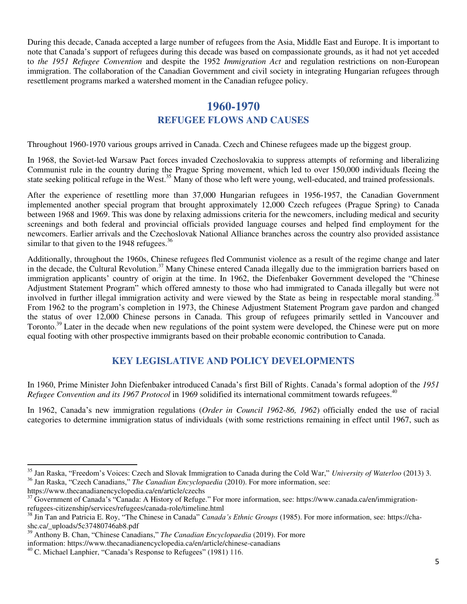During this decade, Canada accepted a large number of refugees from the Asia, Middle East and Europe. It is important to note that Canada's support of refugees during this decade was based on compassionate grounds, as it had not yet acceded to *the 1951 Refugee Convention* and despite the 1952 *Immigration Act* and regulation restrictions on non-European immigration. The collaboration of the Canadian Government and civil society in integrating Hungarian refugees through resettlement programs marked a watershed moment in the Canadian refugee policy.

#### **1960-1970**

#### **REFUGEE FLOWS AND CAUSES**

<span id="page-6-1"></span><span id="page-6-0"></span>Throughout 1960-1970 various groups arrived in Canada. Czech and Chinese refugees made up the biggest group.

In 1968, the Soviet-led Warsaw Pact forces invaded Czechoslovakia to suppress attempts of reforming and liberalizing Communist rule in the country during the Prague Spring movement, which led to over 150,000 individuals fleeing the state seeking political refuge in the West.<sup>35</sup> Many of those who left were young, well-educated, and trained professionals.

After the experience of resettling more than 37,000 Hungarian refugees in 1956-1957, the Canadian Government implemented another special program that brought approximately 12,000 Czech refugees (Prague Spring) to Canada between 1968 and 1969. This was done by relaxing admissions criteria for the newcomers, including medical and security screenings and both federal and provincial officials provided language courses and helped find employment for the newcomers. Earlier arrivals and the Czechoslovak National Alliance branches across the country also provided assistance similar to that given to the 1948 refugees. $36$ 

Additionally, throughout the 1960s, Chinese refugees fled Communist violence as a result of the regime change and later in the decade, the Cultural Revolution.<sup>37</sup> Many Chinese entered Canada illegally due to the immigration barriers based on immigration applicants' country of origin at the time. In 1962, the Diefenbaker Government developed the "Chinese Adjustment Statement Program" which offered amnesty to those who had immigrated to Canada illegally but were not involved in further illegal immigration activity and were viewed by the State as being in respectable moral standing.<sup>38</sup> From 1962 to the program's completion in 1973, the Chinese Adjustment Statement Program gave pardon and changed the status of over 12,000 Chinese persons in Canada. This group of refugees primarily settled in Vancouver and Toronto.<sup>39</sup> Later in the decade when new regulations of the point system were developed, the Chinese were put on more equal footing with other prospective immigrants based on their probable economic contribution to Canada.

#### **KEY LEGISLATIVE AND POLICY DEVELOPMENTS**

<span id="page-6-2"></span>In 1960, Prime Minister John Diefenbaker introduced Canada's first Bill of Rights. Canada's formal adoption of the *1951 Refugee Convention and its 1967 Protocol* in 1969 solidified its international commitment towards refugees.<sup>40</sup>

In 1962, Canada's new immigration regulations (*Order in Council 1962-86, 1962*) officially ended the use of racial categories to determine immigration status of individuals (with some restrictions remaining in effect until 1967, such as

<sup>35</sup> Jan Raska, "Freedom's Voices: Czech and Slovak Immigration to Canada during the Cold War," *University of Waterloo* (2013) 3. <sup>36</sup> Jan Raska, "Czech Canadians," *The Canadian Encyclopaedia* (2010). For more information, see:

https://www.thecanadianencyclopedia.ca/en/article/czechs

<sup>&</sup>lt;sup>37</sup> Government of Canada's "Canada: A History of Refuge." For more information, see: https://www.canada.ca/en/immigrationrefugees-citizenship/services/refugees/canada-role/timeline.html

<sup>38</sup> Jin Tan and Patricia E. Roy, "The Chinese in Canada" *Canada's Ethnic Groups* (1985). For more information, see: https://chashc.ca/\_uploads/5c37480746ab8.pdf

<sup>39</sup> Anthony B. Chan, "Chinese Canadians," *The Canadian Encyclopaedia* (2019). For more

information: https://www.thecanadianencyclopedia.ca/en/article/chinese-canadians

 $40$  C. Michael Lanphier, "Canada's Response to Refugees" (1981) 116.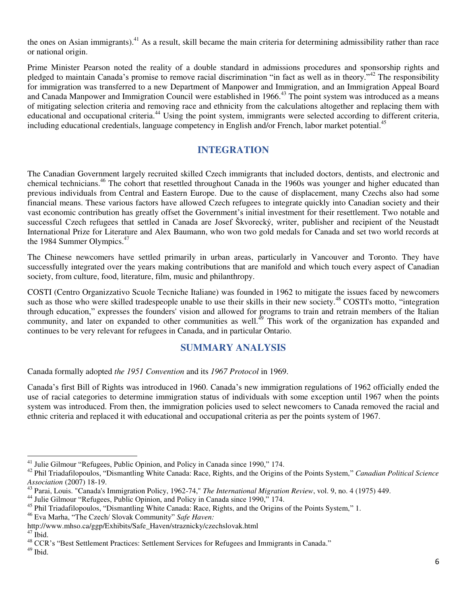the ones on Asian immigrants).<sup>41</sup> As a result, skill became the main criteria for determining admissibility rather than race or national origin.

Prime Minister Pearson noted the reality of a double standard in admissions procedures and sponsorship rights and pledged to maintain Canada's promise to remove racial discrimination "in fact as well as in theory."<sup>42</sup> The responsibility for immigration was transferred to a new Department of Manpower and Immigration, and an Immigration Appeal Board and Canada Manpower and Immigration Council were established in 1966.<sup>43</sup> The point system was introduced as a means of mitigating selection criteria and removing race and ethnicity from the calculations altogether and replacing them with educational and occupational criteria.<sup>44</sup> Using the point system, immigrants were selected according to different criteria, including educational credentials, language competency in English and/or French, labor market potential.<sup>45</sup>

#### **INTEGRATION**

<span id="page-7-0"></span>The Canadian Government largely recruited skilled Czech immigrants that included doctors, dentists, and electronic and chemical technicians.<sup>46</sup> The cohort that resettled throughout Canada in the 1960s was younger and higher educated than previous individuals from Central and Eastern Europe. Due to the cause of displacement, many Czechs also had some financial means. These various factors have allowed Czech refugees to integrate quickly into Canadian society and their vast economic contribution has greatly offset the Government's initial investment for their resettlement. Two notable and successful Czech refugees that settled in Canada are Josef Škvorecký, writer, publisher and recipient of the Neustadt International Prize for Literature and Alex Baumann, who won two gold medals for Canada and set two world records at the 1984 Summer Olympics. $47$ 

The Chinese newcomers have settled primarily in urban areas, particularly in [Vancouver](https://www.thecanadianencyclopedia.ca/en/article/vancouver) and [Toronto.](https://www.thecanadianencyclopedia.ca/en/article/toronto) They have successfully integrated over the years making contributions that are manifold and which touch every aspect of Canadian society, from culture, food, literature, film, music and philanthropy.

COSTI (Centro Organizzativo Scuole Tecniche Italiane) was founded in 1962 to mitigate the issues faced by newcomers such as those who were skilled tradespeople unable to use their skills in their new society.<sup>48</sup> COSTI's motto, "integration" through education," expresses the founders' vision and allowed for programs to train and retrain members of the Italian community, and later on expanded to other communities as well.<sup>49</sup> This work of the organization has expanded and continues to be very relevant for refugees in Canada, and in particular Ontario.

#### **SUMMARY ANALYSIS**

<span id="page-7-1"></span>Canada formally adopted *the 1951 Convention* and its *1967 Protocol* in 1969.

Canada's first Bill of Rights was introduced in 1960. Canada's new immigration regulations of 1962 officially ended the use of racial categories to determine immigration status of individuals with some exception until 1967 when the points system was introduced. From then, the immigration policies used to select newcomers to Canada removed the racial and ethnic criteria and replaced it with educational and occupational criteria as per the points system of 1967.

<sup>&</sup>lt;sup>41</sup> Julie Gilmour "Refugees, Public Opinion, and Policy in Canada since 1990," 174.

<sup>42</sup> Phil Triadafilopoulos, "Dismantling White Canada: Race, Rights, and the Origins of the Points System," *Canadian Political Science Association* (2007) 18-19.

<sup>43</sup> Parai, Louis. "Canada's Immigration Policy, 1962-74," *The International Migration Review*, vol. 9, no. 4 (1975) 449.

<sup>44</sup> Julie Gilmour "Refugees, Public Opinion, and Policy in Canada since 1990," 174.

<sup>&</sup>lt;sup>45</sup> Phil Triadafilopoulos, "Dismantling White Canada: Race, Rights, and the Origins of the Points System," 1.

<sup>46</sup> Eva Marha, "The Czech/ Slovak Community" *Safe Haven:* 

http://www.mhso.ca/ggp/Exhibits/Safe\_Haven/straznicky/czechslovak.html

 $47$  Ibid.

<sup>&</sup>lt;sup>48</sup> CCR's "Best Settlement Practices: Settlement Services for Refugees and Immigrants in Canada."

 $^{49}$  Ibid.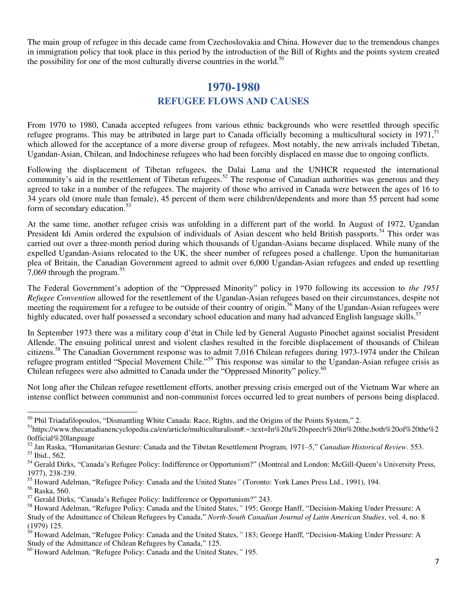<span id="page-8-0"></span>The main group of refugee in this decade came from Czechoslovakia and China. However due to the tremendous changes in immigration policy that took place in this period by the introduction of the Bill of Rights and the points system created the possibility for one of the most culturally diverse countries in the world.<sup>50</sup>

### <span id="page-8-2"></span>**1970-1980 REFUGEE FLOWS AND CAUSES**

<span id="page-8-1"></span>From 1970 to 1980, Canada accepted refugees from various ethnic backgrounds who were resettled through specific refugee programs. This may be attributed in large part to Canada officially becoming a multicultural society in  $1971$ ,  $^{51}$ which allowed for the acceptance of a more diverse group of refugees. Most notably, the new arrivals included Tibetan, Ugandan-Asian, Chilean, and Indochinese refugees who had been forcibly displaced en masse due to ongoing conflicts.

Following the displacement of Tibetan refugees, the Dalai Lama and the UNHCR requested the international community's aid in the resettlement of Tibetan refugees.<sup>52</sup> The response of Canadian authorities was generous and they agreed to take in a number of the refugees. The majority of those who arrived in Canada were between the ages of 16 to 34 years old (more male than female), 45 percent of them were children/dependents and more than 55 percent had some form of secondary education.<sup>53</sup>

At the same time, another refugee crisis was unfolding in a different part of the world. In August of 1972, Ugandan President Idi Amin ordered the expulsion of individuals of Asian descent who held British passports.<sup>54</sup> This order was carried out over a three-month period during which thousands of Ugandan-Asians became displaced. While many of the expelled Ugandan-Asians relocated to the UK, the sheer number of refugees posed a challenge. Upon the humanitarian plea of Britain, the Canadian Government agreed to admit over 6,000 Ugandan-Asian refugees and ended up resettling 7,069 through the program. $55$ 

The Federal Government's adoption of the "Oppressed Minority" policy in 1970 following its accession to *the 1951 Refugee Convention* allowed for the resettlement of the Ugandan-Asian refugees based on their circumstances, despite not meeting the requirement for a refugee to be outside of their country of origin.<sup>56</sup> Many of the Ugandan-Asian refugees were highly educated, over half possessed a secondary school education and many had advanced English language skills.<sup>57</sup>

In September 1973 there was a military coup d'état in Chile led by General Augusto Pinochet against socialist President Allende. The ensuing political unrest and violent clashes resulted in the forcible displacement of thousands of Chilean citizens.<sup>58</sup> The Canadian Government response was to admit 7,016 Chilean refugees during 1973-1974 under the Chilean refugee program entitled "Special Movement Chile."<sup>59</sup> This response was similar to the Ugandan-Asian refugee crisis as Chilean refugees were also admitted to Canada under the "Oppressed Minority" policy.<sup>60</sup>

Not long after the Chilean refugee resettlement efforts, another pressing crisis emerged out of the Vietnam War where an intense conflict between communist and non-communist forces occurred led to great numbers of persons being displaced.

-

<sup>&</sup>lt;sup>50</sup> Phil Triadafilopoulos, "Dismantling White Canada: Race, Rights, and the Origins of the Points System," 2.

<sup>51</sup>https://www.thecanadianencyclopedia.ca/en/article/multiculturalism#:~:text=In%20a%20speech%20in%20the,both%20of%20the%2 0official%20language

<sup>52</sup> Jan Raska, "Humanitarian Gesture: Canada and the Tibetan Resettlement Program, 1971–5," *Canadian Historical Review*. 553. <sup>53</sup> Ibid., 562.

<sup>54</sup> Gerald Dirks, "Canada's Refugee Policy: Indifference or Opportunism?" (Montreal and London: McGill-Queen's University Press, 1977), 238-239.

<sup>55</sup> Howard Adelman, "Refugee Policy: Canada and the United States*"* (Toronto: York Lanes Press Ltd., 1991), 194.

<sup>56</sup> Raska, 560.

<sup>57</sup> Gerald Dirks, "Canada's Refugee Policy: Indifference or Opportunism?" 243.

<sup>58</sup> Howard Adelman, "Refugee Policy: Canada and the United States,*"* 195; George Hanff, "Decision-Making Under Pressure: A Study of the Admittance of Chilean Refugees by Canada," *North-South Canadian Journal of Latin American Studies*, vol. 4, no. 8 (1979) 125.

<sup>59</sup> Howard Adelman, "Refugee Policy: Canada and the United States,*"* 183; George Hanff, "Decision-Making Under Pressure: A Study of the Admittance of Chilean Refugees by Canada," 125.

<sup>60</sup> Howard Adelman, "Refugee Policy: Canada and the United States,*"* 195.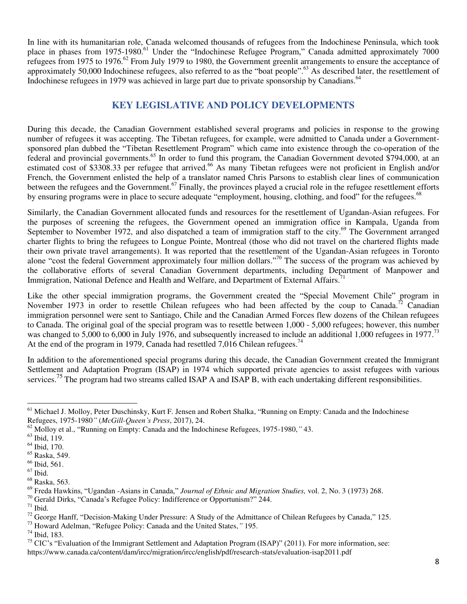In line with its humanitarian role, Canada welcomed thousands of refugees from the Indochinese Peninsula, which took place in phases from 1975-1980.<sup>61</sup> Under the "Indochinese Refugee Program," Canada admitted approximately 7000 refugees from 1975 to 1976.<sup>62</sup> From July 1979 to 1980, the Government greenlit arrangements to ensure the acceptance of approximately 50,000 Indochinese refugees, also referred to as the "boat people".<sup>63</sup> As described later, the resettlement of Indochinese refugees in 1979 was achieved in large part due to private sponsorship by Canadians.<sup>64</sup>

#### **KEY LEGISLATIVE AND POLICY DEVELOPMENTS**

During this decade, the Canadian Government established several programs and policies in response to the growing number of refugees it was accepting. The Tibetan refugees, for example, were admitted to Canada under a Governmentsponsored plan dubbed the "Tibetan Resettlement Program" which came into existence through the co-operation of the federal and provincial governments.<sup>65</sup> In order to fund this program, the Canadian Government devoted \$794,000, at an estimated cost of \$3308.33 per refugee that arrived.<sup>66</sup> As many Tibetan refugees were not proficient in English and/or French, the Government enlisted the help of a translator named Chris Parsons to establish clear lines of communication between the refugees and the Government.<sup>67</sup> Finally, the provinces played a crucial role in the refugee resettlement efforts by ensuring programs were in place to secure adequate "employment, housing, clothing, and food" for the refugees.<sup>68</sup>

Similarly, the Canadian Government allocated funds and resources for the resettlement of Ugandan-Asian refugees. For the purposes of screening the refugees, the Government opened an immigration office in Kampala, Uganda from September to November 1972, and also dispatched a team of immigration staff to the city.<sup>69</sup> The Government arranged charter flights to bring the refugees to Longue Pointe, Montreal (those who did not travel on the chartered flights made their own private travel arrangements). It was reported that the resettlement of the Ugandan-Asian refugees in Toronto alone "cost the federal Government approximately four million dollars."<sup>70</sup> The success of the program was achieved by the collaborative efforts of several Canadian Government departments, including Department of Manpower and Immigration, National Defence and Health and Welfare, and Department of External Affairs.<sup>71</sup>

Like the other special immigration programs, the Government created the "Special Movement Chile" program in November 1973 in order to resettle Chilean refugees who had been affected by the coup to Canada.<sup>72</sup> Canadian immigration personnel were sent to Santiago, Chile and the Canadian Armed Forces flew dozens of the Chilean refugees to Canada. The original goal of the special program was to resettle between 1,000 - 5,000 refugees; however, this number was changed to 5,000 to 6,000 in July 1976, and subsequently increased to include an additional 1,000 refugees in 1977.<sup>73</sup> At the end of the program in 1979, Canada had resettled 7,016 Chilean refugees.<sup>74</sup>

In addition to the aforementioned special programs during this decade, the Canadian Government created the Immigrant Settlement and Adaptation Program (ISAP) in 1974 which supported private agencies to assist refugees with various services.<sup>75</sup> The program had two streams called ISAP A and ISAP B, with each undertaking different responsibilities.

<u>.</u>

<sup>73</sup> Howard Adelman, "Refugee Policy: Canada and the United States,*"* 195.

<sup>74</sup> Ibid, 183.

<sup>&</sup>lt;sup>61</sup> Michael J. Molloy, Peter Duschinsky, Kurt F. Jensen and Robert Shalka, "Running on Empty: Canada and the Indochinese Refugees, 1975-1980*"* (*McGill-Queen's Press*, 2017), 24.

<sup>62</sup> Molloy et al., "Running on Empty: Canada and the Indochinese Refugees, 1975-1980,*"* 43.

<sup>63</sup> Ibid, 119.

<sup>64</sup> Ibid, 170.

<sup>65</sup> Raska, 549.

<sup>66</sup> Ibid, 561.

 $^{67}$  Ibid.

<sup>68</sup> Raska, 563.

<sup>69</sup> Freda Hawkins, "Ugandan -Asians in Canada," *Journal of Ethnic and Migration Studies,* vol. 2, No. 3 (1973) 268.

<sup>70</sup> Gerald Dirks, "Canada's Refugee Policy: Indifference or Opportunism?" 244.

 $71$  Ibid.

 $^{72}$  George Hanff, "Decision-Making Under Pressure: A Study of the Admittance of Chilean Refugees by Canada," 125.

<sup>&</sup>lt;sup>75</sup> CIC's "Evaluation of the Immigrant Settlement and Adaptation Program (ISAP)" (2011). For more information, see: https://www.canada.ca/content/dam/ircc/migration/ircc/english/pdf/research-stats/evaluation-isap2011.pdf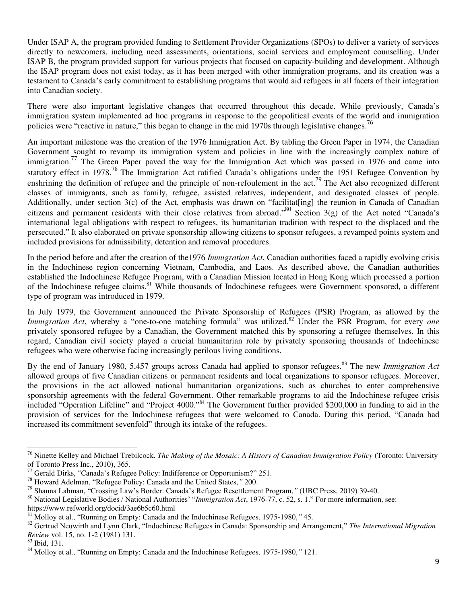Under ISAP A, the program provided funding to Settlement Provider Organizations (SPOs) to deliver a variety of services directly to newcomers, including need assessments, orientations, social services and employment counselling. Under ISAP B, the program provided support for various projects that focused on capacity-building and development. Although the ISAP program does not exist today, as it has been merged with other immigration programs, and its creation was a testament to Canada's early commitment to establishing programs that would aid refugees in all facets of their integration into Canadian society.

There were also important legislative changes that occurred throughout this decade. While previously, Canada's immigration system implemented ad hoc programs in response to the geopolitical events of the world and immigration policies were "reactive in nature," this began to change in the mid 1970s through legislative changes.<sup>76</sup>

An important milestone was the creation of the 1976 Immigration Act. By tabling the Green Paper in 1974, the Canadian Government sought to revamp its immigration system and policies in line with the increasingly complex nature of immigration.<sup>77</sup> The Green Paper paved the way for the Immigration Act which was passed in 1976 and came into statutory effect in 1978.<sup>78</sup> The Immigration Act ratified Canada's obligations under the 1951 Refugee Convention by enshrining the definition of refugee and the principle of non-refoulement in the act.<sup>79</sup> The Act also recognized different classes of immigrants, such as family, refugee, assisted relatives, independent, and designated classes of people. Additionally, under section 3(c) of the Act, emphasis was drawn on "facilitat[ing] the reunion in Canada of Canadian citizens and permanent residents with their close relatives from abroad."<sup>80</sup> Section 3(g) of the Act noted "Canada's international legal obligations with respect to refugees, its humanitarian tradition with respect to the displaced and the persecuted." It also elaborated on private sponsorship allowing citizens to sponsor refugees, a revamped points system and included provisions for admissibility, detention and removal procedures.

In the period before and after the creation of the1976 *Immigration Act*, Canadian authorities faced a rapidly evolving crisis in the Indochinese region concerning Vietnam, Cambodia, and Laos. As described above, the Canadian authorities established the Indochinese Refugee Program, with a Canadian Mission located in Hong Kong which processed a portion of the Indochinese refugee claims.<sup>81</sup> While thousands of Indochinese refugees were Government sponsored, a different type of program was introduced in 1979.

In July 1979, the Government announced the Private Sponsorship of Refugees (PSR) Program, as allowed by the *Immigration Act*, whereby a "one-to-one matching formula" was utilized.<sup>82</sup> Under the PSR Program, for every *one* privately sponsored refugee by a Canadian, the Government matched this by sponsoring a refugee themselves. In this regard, Canadian civil society played a crucial humanitarian role by privately sponsoring thousands of Indochinese refugees who were otherwise facing increasingly perilous living conditions.

By the end of January 1980, 5,457 groups across Canada had applied to sponsor refugees.<sup>83</sup> The new *Immigration Act* allowed groups of five Canadian citizens or permanent residents and local organizations to sponsor refugees. Moreover, the provisions in the act allowed national humanitarian organizations, such as churches to enter comprehensive sponsorship agreements with the federal Government. Other remarkable programs to aid the Indochinese refugee crisis included "Operation Lifeline" and "Project 4000."<sup>84</sup> The Government further provided \$200,000 in funding to aid in the provision of services for the Indochinese refugees that were welcomed to Canada. During this period, "Canada had increased its commitment sevenfold" through its intake of the refugees.

<sup>76</sup> Ninette Kelley and Michael Trebilcock. *The Making of the Mosaic: A History of Canadian Immigration Policy* (Toronto: University of Toronto Press Inc., 2010), 365.

 $77$  Gerald Dirks, "Canada's Refugee Policy: Indifference or Opportunism?" 251.

<sup>78</sup> Howard Adelman, "Refugee Policy: Canada and the United States,*"* 200.

<sup>79</sup> Shauna Labman, "Crossing Law's Border: Canada's Refugee Resettlement Program,*"* (UBC Press, 2019) 39-40.

<sup>80</sup> National Legislative Bodies / National Authorities' "*Immigration Act*, 1976-77, c. 52, s. 1." For more information, see:

https://www.refworld.org/docid/3ae6b5c60.html

<sup>81</sup> Molloy et al., "Running on Empty: Canada and the Indochinese Refugees, 1975-1980,*"* 45.

<sup>82</sup> Gertrud Neuwirth and Lynn Clark, "Indochinese Refugees in Canada: Sponsorship and Arrangement," *The International Migration Review* vol. 15, no. 1-2 (1981) 131.

<sup>83</sup> Ibid, 131.

<sup>84</sup> Molloy et al., "Running on Empty: Canada and the Indochinese Refugees, 1975-1980,*"* 121.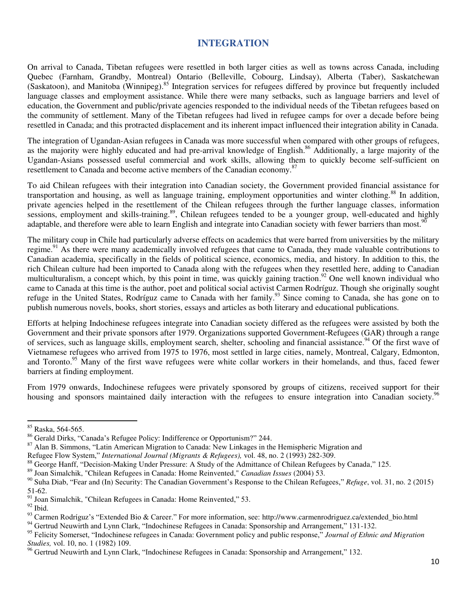#### **INTEGRATION**

<span id="page-11-0"></span>On arrival to Canada, Tibetan refugees were resettled in both larger cities as well as towns across Canada, including Quebec (Farnham, Grandby, Montreal) Ontario (Belleville, Cobourg, Lindsay), Alberta (Taber), Saskatchewan (Saskatoon), and Manitoba (Winnipeg).<sup>85</sup> Integration services for refugees differed by province but frequently included language classes and employment assistance. While there were many setbacks, such as language barriers and level of education, the Government and public/private agencies responded to the individual needs of the Tibetan refugees based on the community of settlement. Many of the Tibetan refugees had lived in refugee camps for over a decade before being resettled in Canada; and this protracted displacement and its inherent impact influenced their integration ability in Canada.

The integration of Ugandan-Asian refugees in Canada was more successful when compared with other groups of refugees, as the majority were highly educated and had pre-arrival knowledge of English.<sup>86</sup> Additionally, a large majority of the Ugandan-Asians possessed useful commercial and work skills, allowing them to quickly become self-sufficient on resettlement to Canada and become active members of the Canadian economy.<sup>87</sup>

To aid Chilean refugees with their integration into Canadian society, the Government provided financial assistance for transportation and housing, as well as language training, employment opportunities and winter clothing.<sup>88</sup> In addition, private agencies helped in the resettlement of the Chilean refugees through the further language classes, information sessions, employment and skills-training.<sup>89</sup>, Chilean refugees tended to be a younger group, well-educated and highly adaptable, and therefore were able to learn English and integrate into Canadian society with fewer barriers than most.<sup>90</sup>

The military coup in Chile had particularly adverse effects on academics that were barred from universities by the military regime.<sup>91</sup> As there were many academically involved refugees that came to Canada, they made valuable contributions to Canadian academia, specifically in the fields of political science, economics, media, and history. In addition to this, the rich Chilean culture had been imported to Canada along with the refugees when they resettled here, adding to Canadian multiculturalism, a concept which, by this point in time, was quickly gaining traction.<sup>92</sup> One well known individual who came to Canada at this time is the author, poet and political social activist Carmen Rodríguz. Though she originally sought refuge in the United States, Rodríguz came to Canada with her family.<sup>93</sup> Since coming to Canada, she has gone on to publish numerous novels, books, short stories, essays and articles as both literary and educational publications.

Efforts at helping Indochinese refugees integrate into Canadian society differed as the refugees were assisted by both the Government and their private sponsors after 1979. Organizations supported Government-Refugees (GAR) through a range of services, such as language skills, employment search, shelter, schooling and financial assistance.<sup>94</sup> Of the first wave of Vietnamese refugees who arrived from 1975 to 1976, most settled in large cities, namely, Montreal, Calgary, Edmonton, and Toronto.<sup>95</sup> Many of the first wave refugees were white collar workers in their homelands, and thus, faced fewer barriers at finding employment.

From 1979 onwards, Indochinese refugees were privately sponsored by groups of citizens, received support for their housing and sponsors maintained daily interaction with the refugees to ensure integration into Canadian society.<sup>96</sup>

<sup>&</sup>lt;sup>85</sup> Raska, 564-565.

<sup>86</sup> Gerald Dirks, "Canada's Refugee Policy: Indifference or Opportunism?" 244.

<sup>&</sup>lt;sup>87</sup> Alan B. Simmons, "Latin American Migration to Canada: New Linkages in the Hemispheric Migration and

Refugee Flow System," *International Journal (Migrants & Refugees),* vol. 48, no. 2 (1993) 282-309.

<sup>&</sup>lt;sup>88</sup> George Hanff, "Decision-Making Under Pressure: A Study of the Admittance of Chilean Refugees by Canada," 125.

<sup>89</sup> Joan Simalchik, "Chilean Refugees in Canada: Home Reinvented," *Canadian Issues* (2004) 53.

<sup>90</sup> Suha Diab, "Fear and (In) Security: The Canadian Government's Response to the Chilean Refugees," *Refuge*, vol. 31, no. 2 (2015) 51-62.

<sup>91</sup> Joan Simalchik, "Chilean Refugees in Canada: Home Reinvented," 53.

 $^{92}$  Ibid.

<sup>93</sup> Carmen Rodríguz's "Extended Bio & Career." For more information, see: http://www.carmenrodriguez.ca/extended\_bio.html

<sup>&</sup>lt;sup>94</sup> Gertrud Neuwirth and Lynn Clark, "Indochinese Refugees in Canada: Sponsorship and Arrangement," 131-132.

<sup>95</sup> Felicity Somerset, "Indochinese refugees in Canada: Government policy and public response," *Journal of Ethnic and Migration Studies,* vol. 10, no. 1 (1982) 109.

<sup>&</sup>lt;sup>96</sup> Gertrud Neuwirth and Lynn Clark, "Indochinese Refugees in Canada: Sponsorship and Arrangement," 132.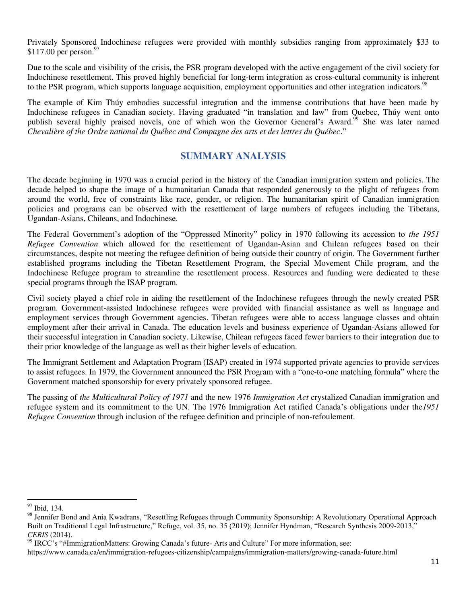Privately Sponsored Indochinese refugees were provided with monthly subsidies ranging from approximately \$33 to  $$117.00$  per person.<sup>97</sup>

Due to the scale and visibility of the crisis, the PSR program developed with the active engagement of the civil society for Indochinese resettlement. This proved highly beneficial for long-term integration as cross-cultural community is inherent to the PSR program, which supports language acquisition, employment opportunities and other integration indicators.<sup>98</sup>

The example of Kim Thúy embodies successful integration and the immense contributions that have been made by Indochinese refugees in Canadian society. Having graduated "in translation and law" from Quebec, Thúy went onto publish several highly praised novels, one of which won the Governor General's Award.<sup>99</sup> She was later named *Chevalière of the Ordre national du Québec and Compagne des arts et des lettres du Québec*."

#### **SUMMARY ANALYSIS**

<span id="page-12-0"></span>The decade beginning in 1970 was a crucial period in the history of the Canadian immigration system and policies. The decade helped to shape the image of a humanitarian Canada that responded generously to the plight of refugees from around the world, free of constraints like race, gender, or religion. The humanitarian spirit of Canadian immigration policies and programs can be observed with the resettlement of large numbers of refugees including the Tibetans, Ugandan-Asians, Chileans, and Indochinese.

The Federal Government's adoption of the "Oppressed Minority" policy in 1970 following its accession to *the 1951 Refugee Convention* which allowed for the resettlement of Ugandan-Asian and Chilean refugees based on their circumstances, despite not meeting the refugee definition of being outside their country of origin. The Government further established programs including the Tibetan Resettlement Program, the Special Movement Chile program, and the Indochinese Refugee program to streamline the resettlement process. Resources and funding were dedicated to these special programs through the ISAP program.

Civil society played a chief role in aiding the resettlement of the Indochinese refugees through the newly created PSR program. Government-assisted Indochinese refugees were provided with financial assistance as well as language and employment services through Government agencies. Tibetan refugees were able to access language classes and obtain employment after their arrival in Canada. The education levels and business experience of Ugandan-Asians allowed for their successful integration in Canadian society. Likewise, Chilean refugees faced fewer barriers to their integration due to their prior knowledge of the language as well as their higher levels of education.

The Immigrant Settlement and Adaptation Program (ISAP) created in 1974 supported private agencies to provide services to assist refugees. In 1979, the Government announced the PSR Program with a "one-to-one matching formula" where the Government matched sponsorship for every privately sponsored refugee.

The passing of *the Multicultural Policy of 1971* and the new 1976 *Immigration Act* crystalized Canadian immigration and refugee system and its commitment to the UN. The 1976 Immigration Act ratified Canada's obligations under the*1951 Refugee Convention* through inclusion of the refugee definition and principle of non-refoulement.

<sup>&</sup>lt;sup>97</sup> Ibid, 134.

<sup>&</sup>lt;sup>98</sup> Jennifer Bond and Ania Kwadrans, "Resettling Refugees through Community Sponsorship: A Revolutionary Operational Approach Built on Traditional Legal Infrastructure," Refuge, vol. 35, no. 35 (2019); Jennifer Hyndman, "Research Synthesis 2009-2013," *CERIS* (2014).

<sup>99</sup> IRCC's "#ImmigrationMatters: Growing Canada's future- Arts and Culture" For more information, see:

https://www.canada.ca/en/immigration-refugees-citizenship/campaigns/immigration-matters/growing-canada-future.html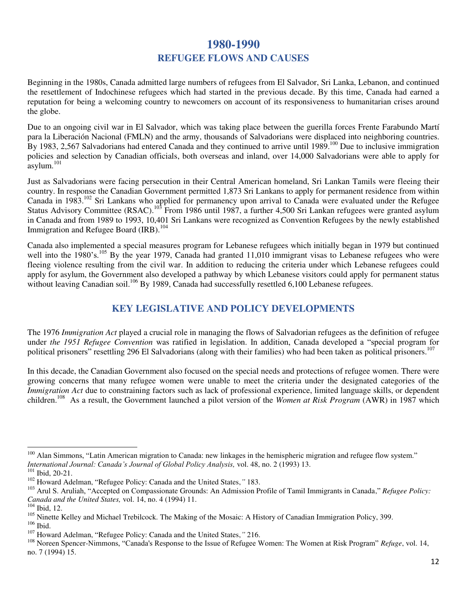## **1980-1990 REFUGEE FLOWS AND CAUSES**

<span id="page-13-1"></span><span id="page-13-0"></span>Beginning in the 1980s, Canada admitted large numbers of refugees from El Salvador, Sri Lanka, Lebanon, and continued the resettlement of Indochinese refugees which had started in the previous decade. By this time, Canada had earned a reputation for being a welcoming country to newcomers on account of its responsiveness to humanitarian crises around the globe.

Due to an ongoing civil war in El Salvador, which was taking place between the guerilla forces Frente Farabundo Martí para la Liberación Nacional (FMLN) and the army, thousands of Salvadorians were displaced into neighboring countries. By 1983, 2,567 Salvadorians had entered Canada and they continued to arrive until 1989.<sup>100</sup> Due to inclusive immigration policies and selection by Canadian officials, both overseas and inland, over 14,000 Salvadorians were able to apply for  $a$ sylum.<sup>101</sup>

Just as Salvadorians were facing persecution in their Central American homeland, Sri Lankan Tamils were fleeing their country. In response the Canadian Government permitted 1,873 Sri Lankans to apply for permanent residence from within Canada in 1983.<sup>102</sup> Sri Lankans who applied for permanency upon arrival to Canada were evaluated under the Refugee Status Advisory Committee (RSAC).<sup>103</sup> From 1986 until 1987, a further 4,500 Sri Lankan refugees were granted asylum in Canada and from 1989 to 1993, 10,401 Sri Lankans were recognized as Convention Refugees by the newly established Immigration and Refugee Board (IRB).<sup>104</sup>

Canada also implemented a special measures program for Lebanese refugees which initially began in 1979 but continued well into the 1980's.<sup>105</sup> By the year 1979, Canada had granted 11,010 immigrant visas to Lebanese refugees who were fleeing violence resulting from the civil war. In addition to reducing the criteria under which Lebanese refugees could apply for asylum, the Government also developed a pathway by which Lebanese visitors could apply for permanent status without leaving Canadian soil.<sup>106</sup> By 1989, Canada had successfully resettled 6,100 Lebanese refugees.

#### **KEY LEGISLATIVE AND POLICY DEVELOPMENTS**

<span id="page-13-2"></span>The 1976 *Immigration Act* played a crucial role in managing the flows of Salvadorian refugees as the definition of refugee under *the 1951 Refugee Convention* was ratified in legislation. In addition, Canada developed a "special program for political prisoners" resettling 296 El Salvadorians (along with their families) who had been taken as political prisoners.<sup>107</sup>

In this decade, the Canadian Government also focused on the special needs and protections of refugee women. There were growing concerns that many refugee women were unable to meet the criteria under the designated categories of the *Immigration Act* due to constraining factors such as lack of professional experience, limited language skills, or dependent children.<sup>108</sup> As a result, the Government launched a pilot version of the *Women at Risk Program* (AWR) in 1987 which

<sup>&</sup>lt;sup>100</sup> Alan Simmons, "Latin American migration to Canada: new linkages in the hemispheric migration and refugee flow system." *International Journal: Canada's Journal of Global Policy Analysis,* vol. 48, no. 2 (1993) 13. <sup>101</sup> Ibid, 20-21.

<sup>102</sup> Howard Adelman, "Refugee Policy: Canada and the United States,*"* 183.

<sup>103</sup> Arul S. Aruliah, "Accepted on Compassionate Grounds: An Admission Profile of Tamil Immigrants in Canada," *Refugee Policy: Canada and the United States,* vol. 14, no. 4 (1994) 11.

 $104$  Ibid, 12.

<sup>&</sup>lt;sup>105</sup> Ninette Kelley and Michael Trebilcock. The Making of the Mosaic: A History of Canadian Immigration Policy, 399. <sup>106</sup> Ibid.

<sup>107</sup> Howard Adelman, "Refugee Policy: Canada and the United States,*"* 216.

<sup>108</sup> Noreen Spencer-Nimmons, "Canada's Response to the Issue of Refugee Women: The Women at Risk Program" *Refuge*, vol. 14, no. 7 (1994) 15.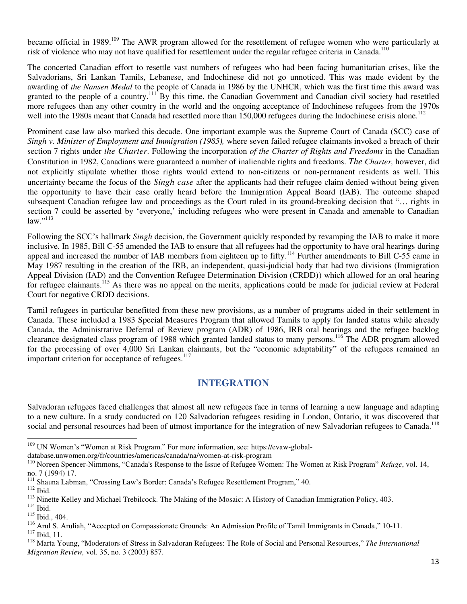became official in 1989.<sup>109</sup> The AWR program allowed for the resettlement of refugee women who were particularly at risk of violence who may not have qualified for resettlement under the regular refugee criteria in Canada.<sup>110</sup>

The concerted Canadian effort to resettle vast numbers of refugees who had been facing humanitarian crises, like the Salvadorians, Sri Lankan Tamils, Lebanese, and Indochinese did not go unnoticed. This was made evident by the awarding of *the Nansen Medal* to the people of Canada in 1986 by the UNHCR, which was the first time this award was granted to the people of a country.<sup>111</sup> By this time, the Canadian Government and Canadian civil society had resettled more refugees than any other country in the world and the ongoing acceptance of Indochinese refugees from the 1970s well into the 1980s meant that Canada had resettled more than 150,000 refugees during the Indochinese crisis alone.<sup>112</sup>

Prominent case law also marked this decade. One important example was the Supreme Court of Canada (SCC) case of *Singh v. Minister of Employment and Immigration (1985),* where seven failed refugee claimants invoked a breach of their section 7 rights under *the Charter*. Following the incorporation *of the Charter of Rights and Freedoms* in the Canadian Constitution in 1982, Canadians were guaranteed a number of inalienable rights and freedoms. *The Charter,* however, did not explicitly stipulate whether those rights would extend to non-citizens or non-permanent residents as well. This uncertainty became the focus of the *Singh case* after the applicants had their refugee claim denied without being given the opportunity to have their case orally heard before the Immigration Appeal Board (IAB). The outcome shaped subsequent Canadian refugee law and proceedings as the Court ruled in its ground-breaking decision that "… rights in section 7 could be asserted by 'everyone,' including refugees who were present in Canada and amenable to Canadian law." 113

Following the SCC's hallmark *Singh* decision, the Government quickly responded by revamping the IAB to make it more inclusive. In 1985, Bill C-55 amended the IAB to ensure that all refugees had the opportunity to have oral hearings during appeal and increased the number of IAB members from eighteen up to fifty.<sup>114</sup> Further amendments to Bill C-55 came in May 1987 resulting in the creation of the IRB, an independent, quasi-judicial body that had two divisions (Immigration Appeal Division (IAD) and the Convention Refugee Determination Division (CRDD)) which allowed for an oral hearing for refugee claimants.<sup>115</sup> As there was no appeal on the merits, applications could be made for judicial review at Federal Court for negative CRDD decisions.

Tamil refugees in particular benefitted from these new provisions, as a number of programs aided in their settlement in Canada. These included a 1983 Special Measures Program that allowed Tamils to apply for landed status while already Canada, the Administrative Deferral of Review program (ADR) of 1986, IRB oral hearings and the refugee backlog clearance designated class program of 1988 which granted landed status to many persons.<sup>116</sup> The ADR program allowed for the processing of over 4,000 Sri Lankan claimants, but the "economic adaptability" of the refugees remained an important criterion for acceptance of refugees.<sup>117</sup>

#### **INTEGRATION**

<span id="page-14-0"></span>Salvadoran refugees faced challenges that almost all new refugees face in terms of learning a new language and adapting to a new culture. In a study conducted on 120 Salvadorian refugees residing in London, Ontario, it was discovered that social and personal resources had been of utmost importance for the integration of new Salvadorian refugees to Canada.<sup>118</sup>

<sup>&</sup>lt;sup>109</sup> UN Women's "Women at Risk Program." For more information, see: https://evaw-global-

database.unwomen.org/fr/countries/americas/canada/na/women-at-risk-program

<sup>110</sup> Noreen Spencer-Nimmons, "Canada's Response to the Issue of Refugee Women: The Women at Risk Program" *Refuge*, vol. 14, no. 7 (1994) 17.

<sup>&</sup>lt;sup>111</sup> Shauna Labman, "Crossing Law's Border: Canada's Refugee Resettlement Program," 40.

 $\,$  112 Ibid.

<sup>&</sup>lt;sup>113</sup> Ninette Kelley and Michael Trebilcock. The Making of the Mosaic: A History of Canadian Immigration Policy, 403.

 $114$  Ibid.

<sup>115</sup> Ibid., 404.

<sup>&</sup>lt;sup>116</sup> Arul S. Aruliah, "Accepted on Compassionate Grounds: An Admission Profile of Tamil Immigrants in Canada," 10-11. <sup>117</sup> Ibid, 11.

<sup>118</sup> Marta Young, "Moderators of Stress in Salvadoran Refugees: The Role of Social and Personal Resources," *The International Migration Review,* vol. 35, no. 3 (2003) 857.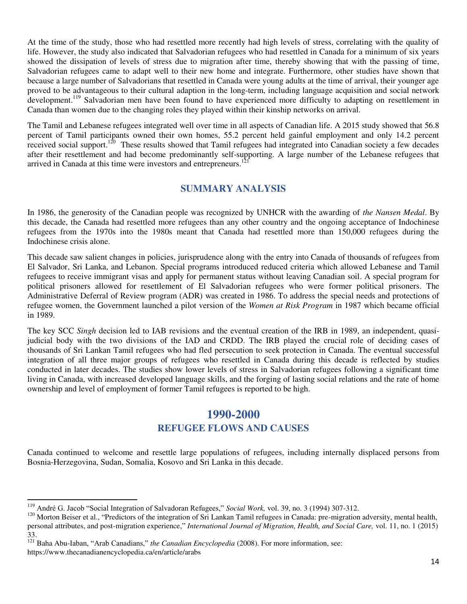At the time of the study, those who had resettled more recently had high levels of stress, correlating with the quality of life. However, the study also indicated that Salvadorian refugees who had resettled in Canada for a minimum of six years showed the dissipation of levels of stress due to migration after time, thereby showing that with the passing of time, Salvadorian refugees came to adapt well to their new home and integrate. Furthermore, other studies have shown that because a large number of Salvadorians that resettled in Canada were young adults at the time of arrival, their younger age proved to be advantageous to their cultural adaption in the long-term, including language acquisition and social network development.<sup>119</sup> Salvadorian men have been found to have experienced more difficulty to adapting on resettlement in Canada than women due to the changing roles they played within their kinship networks on arrival.

The Tamil and Lebanese refugees integrated well over time in all aspects of Canadian life. A 2015 study showed that 56.8 percent of Tamil participants owned their own homes, 55.2 percent held gainful employment and only 14.2 percent received social support.<sup>120</sup> These results showed that Tamil refugees had integrated into Canadian society a few decades after their resettlement and had become predominantly self-supporting. A large number of the Lebanese refugees that arrived in Canada at this time were investors and entrepreneurs.<sup>12</sup>

#### <span id="page-15-0"></span>**SUMMARY ANALYSIS**

In 1986, the generosity of the Canadian people was recognized by UNHCR with the awarding of *the Nansen Medal*. By this decade, the Canada had resettled more refugees than any other country and the ongoing acceptance of Indochinese refugees from the 1970s into the 1980s meant that Canada had resettled more than 150,000 refugees during the Indochinese crisis alone.

This decade saw salient changes in policies, jurisprudence along with the entry into Canada of thousands of refugees from El Salvador, Sri Lanka, and Lebanon. Special programs introduced reduced criteria which allowed Lebanese and Tamil refugees to receive immigrant visas and apply for permanent status without leaving Canadian soil. A special program for political prisoners allowed for resettlement of El Salvadorian refugees who were former political prisoners. The Administrative Deferral of Review program (ADR) was created in 1986. To address the special needs and protections of refugee women, the Government launched a pilot version of the *Women at Risk Program* in 1987 which became official in 1989.

The key SCC *Singh* decision led to IAB revisions and the eventual creation of the IRB in 1989, an independent, quasijudicial body with the two divisions of the IAD and CRDD. The IRB played the crucial role of deciding cases of thousands of Sri Lankan Tamil refugees who had fled persecution to seek protection in Canada. The eventual successful integration of all three major groups of refugees who resettled in Canada during this decade is reflected by studies conducted in later decades. The studies show lower levels of stress in Salvadorian refugees following a significant time living in Canada, with increased developed language skills, and the forging of lasting social relations and the rate of home ownership and level of employment of former Tamil refugees is reported to be high.

#### **1990-2000 REFUGEE FLOWS AND CAUSES**

<span id="page-15-2"></span><span id="page-15-1"></span>Canada continued to welcome and resettle large populations of refugees, including internally displaced persons from Bosnia-Herzegovina, Sudan, Somalia, Kosovo and Sri Lanka in this decade.

<sup>119</sup> André G. Jacob "Social Integration of Salvadoran Refugees," *Social Work,* vol. 39, no. 3 (1994) 307-312.

<sup>&</sup>lt;sup>120</sup> Morton Beiser et al., "Predictors of the integration of Sri Lankan Tamil refugees in Canada: pre-migration adversity, mental health, personal attributes, and post-migration experience," *International Journal of Migration, Health, and Social Care,* vol. 11, no. 1 (2015) 33.

<sup>121</sup> Baha Abu-Iaban, "Arab Canadians," *the Canadian Encyclopedia* (2008). For more information, see: https://www.thecanadianencyclopedia.ca/en/article/arabs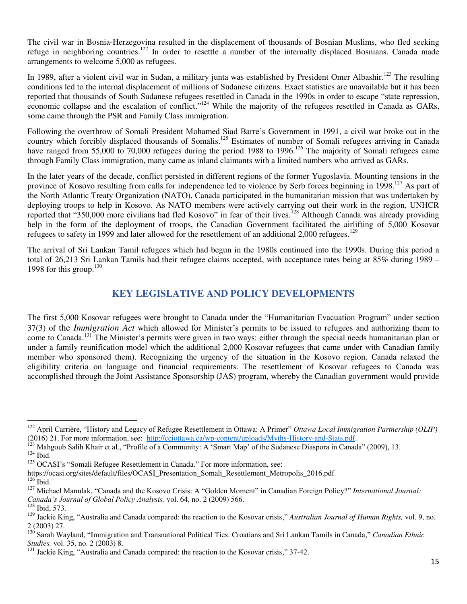The civil war in Bosnia-Herzegovina resulted in the displacement of thousands of Bosnian Muslims, who fled seeking refuge in neighboring countries.<sup>122</sup> In order to resettle a number of the internally displaced Bosnians, Canada made arrangements to welcome 5,000 as refugees.

In 1989, after a violent civil war in Sudan, a military junta was established by President Omer Albashir.<sup>123</sup> The resulting conditions led to the internal displacement of millions of Sudanese citizens. Exact statistics are unavailable but it has been reported that thousands of South Sudanese refugees resettled in Canada in the 1990s in order to escape "state repression, economic collapse and the escalation of conflict."<sup>124</sup> While the majority of the refugees resettled in Canada as GARs, some came through the PSR and Family Class immigration.

Following the overthrow of Somali President Mohamed Siad Barre's Government in 1991, a civil war broke out in the country which forcibly displaced thousands of Somalis.<sup>125</sup> Estimates of number of Somali refugees arriving in Canada have ranged from 55,000 to 70,000 refugees during the period 1988 to 1996.<sup>126</sup> The majority of Somali refugees came through Family Class immigration, many came as inland claimants with a limited numbers who arrived as GARs.

In the later years of the decade, conflict persisted in different regions of the former Yugoslavia. Mounting tensions in the province of Kosovo resulting from calls for independence led to violence by Serb forces beginning in 1998.<sup>127</sup> As part of the North Atlantic Treaty Organization (NATO), Canada participated in the humanitarian mission that was undertaken by deploying troops to help in Kosovo. As NATO members were actively carrying out their work in the region, UNHCR reported that "350,000 more civilians had fled Kosovo" in fear of their lives.<sup>128</sup> Although Canada was already providing help in the form of the deployment of troops, the Canadian Government facilitated the airlifting of 5,000 Kosovar refugees to safety in 1999 and later allowed for the resettlement of an additional 2,000 refugees.<sup>129</sup>

The arrival of Sri Lankan Tamil refugees which had begun in the 1980s continued into the 1990s. During this period a total of 26,213 Sri Lankan Tamils had their refugee claims accepted, with acceptance rates being at 85% during 1989 – 1998 for this group.<sup>130</sup>

#### **KEY LEGISLATIVE AND POLICY DEVELOPMENTS**

<span id="page-16-0"></span>The first 5,000 Kosovar refugees were brought to Canada under the "Humanitarian Evacuation Program" under section 37(3) of the *Immigration Act* which allowed for Minister's permits to be issued to refugees and authorizing them to come to Canada.<sup>131</sup> The Minister's permits were given in two ways: either through the special needs humanitarian plan or under a family reunification model which the additional 2,000 Kosovar refugees that came under with Canadian family member who sponsored them). Recognizing the urgency of the situation in the Kosovo region, Canada relaxed the eligibility criteria on language and financial requirements. The resettlement of Kosovar refugees to Canada was accomplished through the Joint Assistance Sponsorship (JAS) program, whereby the Canadian government would provide

-

<sup>122</sup> April Carrière, "History and Legacy of Refugee Resettlement in Ottawa: A Primer" *Ottawa Local Immigration Partnership (OLIP)*  (2016) 21. For more information, see: [http://cciottawa.ca/wp-content/uploads/Myths-History-and-Stats.pdf.](http://cciottawa.ca/wp-content/uploads/Myths-History-and-Stats.pdf)

 $^{123}$  Mahgoub Salih Khair et al., "Profile of a Community: A 'Smart Map' of the Sudanese Diaspora in Canada" (2009), 13.

 $124$  Ibid.

<sup>&</sup>lt;sup>125</sup> OCASI's "Somali Refugee Resettlement in Canada." For more information, see:

https://ocasi.org/sites/default/files/OCASI\_Presentation\_Somali\_Resettlement\_Metropolis\_2016.pdf

 $126$  Ibid.

<sup>127</sup> Michael Manulak, "Canada and the Kosovo Crisis: A "Golden Moment" in Canadian Foreign Policy?" *International Journal: Canada's Journal of Global Policy Analysis,* vol. 64, no. 2 (2009) 566.

<sup>128</sup> Ibid, 573.

<sup>129</sup> Jackie King, "Australia and Canada compared: the reaction to the Kosovar crisis," *Australian Journal of Human Rights,* vol. 9, no. 2 (2003) 27.

<sup>130</sup> Sarah Wayland, "Immigration and Transnational Political Ties: Croatians and Sri Lankan Tamils in Canada," *Canadian Ethnic Studies,* vol. 35, no. 2 (2003) 8.

 $131$  Jackie King, "Australia and Canada compared: the reaction to the Kosovar crisis," 37-42.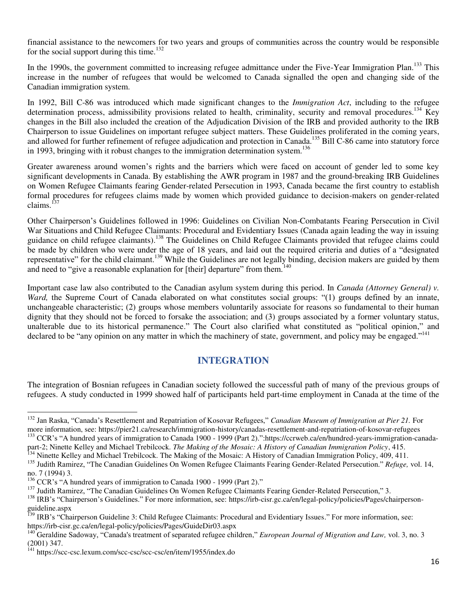financial assistance to the newcomers for two years and groups of communities across the country would be responsible for the social support during this time.<sup>132</sup>

In the 1990s, the government committed to increasing refugee admittance under the Five-Year Immigration Plan.<sup>133</sup> This increase in the number of refugees that would be welcomed to Canada signalled the open and changing side of the Canadian immigration system.

In 1992, Bill C-86 was introduced which made significant changes to the *Immigration Act*, including to the refugee determination process, admissibility provisions related to health, criminality, security and removal procedures.<sup>134</sup> Key changes in the Bill also included the creation of the Adjudication Division of the IRB and provided authority to the IRB Chairperson to issue Guidelines on important refugee subject matters. These Guidelines proliferated in the coming years, and allowed for further refinement of refugee adjudication and protection in Canada.<sup>135</sup> Bill C-86 came into statutory force in 1993, bringing with it robust changes to the immigration determination system.<sup>136</sup>

Greater awareness around women's rights and the barriers which were faced on account of gender led to some key significant developments in Canada. By establishing the AWR program in 1987 and the ground-breaking IRB Guidelines on Women Refugee Claimants fearing Gender-related Persecution in 1993, Canada became the first country to establish formal procedures for refugees claims made by women which provided guidance to decision-makers on gender-related claims.<sup>137</sup>

Other Chairperson's Guidelines followed in 1996: Guidelines on Civilian Non-Combatants Fearing Persecution in Civil War Situations and Child Refugee Claimants: Procedural and Evidentiary Issues (Canada again leading the way in issuing guidance on child refugee claimants).<sup>138</sup> The Guidelines on Child Refugee Claimants provided that refugee claims could be made by children who were under the age of 18 years, and laid out the required criteria and duties of a "designated representative" for the child claimant.<sup>139</sup> While the Guidelines are not legally binding, decision makers are guided by them and need to "give a reasonable explanation for [their] departure" from them.<sup>140</sup>

Important case law also contributed to the Canadian asylum system during this period. In *Canada (Attorney General) v. Ward,* the Supreme Court of Canada elaborated on what constitutes social groups: "(1) groups defined by an innate, unchangeable characteristic; (2) groups whose members voluntarily associate for reasons so fundamental to their human dignity that they should not be forced to forsake the association; and (3) groups associated by a former voluntary status, unalterable due to its historical permanence." The Court also clarified what constituted as "political opinion," and declared to be "any opinion on any matter in which the machinery of state, government, and policy may be engaged."<sup>141</sup>

#### **INTEGRATION**

<span id="page-17-0"></span>The integration of Bosnian refugees in Canadian society followed the successful path of many of the previous groups of refugees. A study conducted in 1999 showed half of participants held part-time employment in Canada at the time of the

part-2; Ninette Kelley and Michael Trebilcock. *The Making of the Mosaic: A History of Canadian Immigration Policy*, 415.

<sup>134</sup> Ninette Kelley and Michael Trebilcock. The Making of the Mosaic: A History of Canadian Immigration Policy, 409, 411.

<sup>132</sup> Jan Raska, "Canada's Resettlement and Repatriation of Kosovar Refugees," *Canadian Museum of Immigration at Pier 21.* For more information, see: https://pier21.ca/research/immigration-history/canadas-resettlement-and-repatriation-of-kosovar-refugees <sup>133</sup> CCR's "A hundred years of immigration to Canada 1900 - 1999 (Part 2).":https://ccrweb.ca/en/hundred-years-immigration-canada-

<sup>135</sup> Judith Ramirez, "The Canadian Guidelines On Women Refugee Claimants Fearing Gender-Related Persecution." *Refuge,* vol. 14, no. 7 (1994) 3.

 $136$  CCR's "A hundred years of immigration to Canada 1900 - 1999 (Part 2)."

<sup>&</sup>lt;sup>137</sup> Judith Ramirez, "The Canadian Guidelines On Women Refugee Claimants Fearing Gender-Related Persecution," 3.

<sup>138</sup> IRB's "Chairperson's Guidelines." For more information, see: https://irb-cisr.gc.ca/en/legal-policy/policies/Pages/chairpersonguideline.aspx

<sup>&</sup>lt;sup>139</sup> IRB's "Chairperson Guideline 3: Child Refugee Claimants: Procedural and Evidentiary Issues." For more information, see: https://irb-cisr.gc.ca/en/legal-policy/policies/Pages/GuideDir03.aspx

<sup>140</sup> Geraldine Sadoway, "Canada's treatment of separated refugee children," *European Journal of Migration and Law,* vol. 3, no. 3 (2001) 347.

<sup>&</sup>lt;sup>141</sup> https://scc-csc.lexum.com/scc-csc/scc-csc/en/item/1955/index.do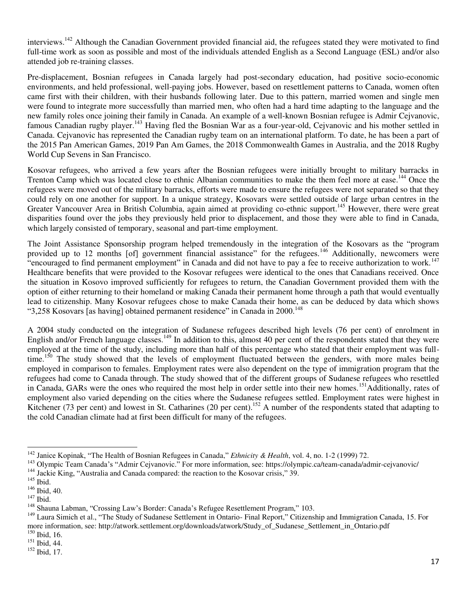interviews.<sup>142</sup> Although the Canadian Government provided financial aid, the refugees stated they were motivated to find full-time work as soon as possible and most of the individuals attended English as a Second Language (ESL) and/or also attended job re-training classes.

Pre-displacement, Bosnian refugees in Canada largely had post-secondary education, had positive socio-economic environments, and held professional, well-paying jobs. However, based on resettlement patterns to Canada, women often came first with their children, with their husbands following later. Due to this pattern, married women and single men were found to integrate more successfully than married men, who often had a hard time adapting to the language and the new family roles once joining their family in Canada. An example of a well-known Bosnian refugee is Admir Cejvanovic, famous Canadian rugby player.<sup>143</sup> Having fled the Bosnian War as a four-year-old, Cejvanovic and his mother settled in Canada. Cejvanovic has represented the Canadian rugby team on an international platform. To date, he has been a part of the 2015 Pan American Games, 2019 Pan Am Games, the 2018 Commonwealth Games in Australia, and the 2018 Rugby World Cup Sevens in San Francisco.

Kosovar refugees, who arrived a few years after the Bosnian refugees were initially brought to military barracks in Trenton Camp which was located close to ethnic Albanian communities to make the them feel more at ease.<sup>144</sup> Once the refugees were moved out of the military barracks, efforts were made to ensure the refugees were not separated so that they could rely on one another for support. In a unique strategy, Kosovars were settled outside of large urban centres in the Greater Vancouver Area in British Columbia, again aimed at providing co-ethnic support.<sup>145</sup> However, there were great disparities found over the jobs they previously held prior to displacement, and those they were able to find in Canada, which largely consisted of temporary, seasonal and part-time employment.

The Joint Assistance Sponsorship program helped tremendously in the integration of the Kosovars as the "program provided up to 12 months [of] government financial assistance" for the refugees.<sup>146</sup> Additionally, newcomers were "encouraged to find permanent employment" in Canada and did not have to pay a fee to receive authorization to work.<sup>147</sup> Healthcare benefits that were provided to the Kosovar refugees were identical to the ones that Canadians received. Once the situation in Kosovo improved sufficiently for refugees to return, the Canadian Government provided them with the option of either returning to their homeland or making Canada their permanent home through a path that would eventually lead to citizenship. Many Kosovar refugees chose to make Canada their home, as can be deduced by data which shows "3,258 Kosovars [as having] obtained permanent residence" in Canada in 2000.<sup>148</sup>

A 2004 study conducted on the integration of Sudanese refugees described high levels (76 per cent) of enrolment in English and/or French language classes.<sup>149</sup> In addition to this, almost 40 per cent of the respondents stated that they were employed at the time of the study, including more than half of this percentage who stated that their employment was fulltime.<sup>150</sup> The study showed that the levels of employment fluctuated between the genders, with more males being employed in comparison to females. Employment rates were also dependent on the type of immigration program that the refugees had come to Canada through. The study showed that of the different groups of Sudanese refugees who resettled in Canada, GARs were the ones who required the most help in order settle into their new homes.<sup>151</sup>Additionally, rates of employment also varied depending on the cities where the Sudanese refugees settled. Employment rates were highest in Kitchener (73 per cent) and lowest in St. Catharines (20 per cent).<sup>152</sup> A number of the respondents stated that adapting to the cold Canadian climate had at first been difficult for many of the refugees.

 $\overline{a}$ <sup>142</sup> Janice Kopinak, "The Health of Bosnian Refugees in Canada," *Ethnicity & Health*, vol. 4, no. 1-2 (1999) 72.

<sup>&</sup>lt;sup>143</sup> Olympic Team Canada's "Admir Cejvanovic." For more information, see: https://olympic.ca/team-canada/admir-cejvanovic/ <sup>144</sup> Jackie King, "Australia and Canada compared: the reaction to the Kosovar crisis," 39.

 $145$  Ibid.

<sup>146</sup> Ibid, 40.

 $147$  Ibid.

<sup>&</sup>lt;sup>148</sup> Shauna Labman, "Crossing Law's Border: Canada's Refugee Resettlement Program," 103.

<sup>&</sup>lt;sup>149</sup> Laura Simich et al., "The Study of Sudanese Settlement in Ontario- Final Report," Citizenship and Immigration Canada, 15. For more information, see: http://atwork.settlement.org/downloads/atwork/Study\_of\_Sudanese\_Settlement\_in\_Ontario.pdf <sup>150</sup> Ibid, 16.

<sup>151</sup> Ibid, 44.

<sup>152</sup> Ibid, 17.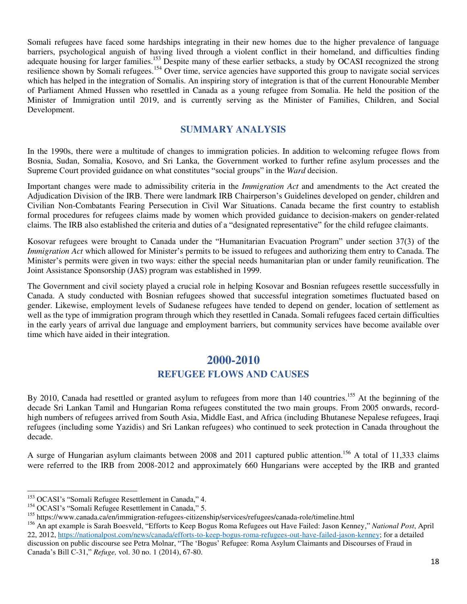Somali refugees have faced some hardships integrating in their new homes due to the higher prevalence of language barriers, psychological anguish of having lived through a violent conflict in their homeland, and difficulties finding adequate housing for larger families.<sup>153</sup> Despite many of these earlier setbacks, a study by OCASI recognized the strong resilience shown by Somali refugees.<sup>154</sup> Over time, service agencies have supported this group to navigate social services which has helped in the integration of Somalis. An inspiring story of integration is that of the current Honourable Member of Parliament Ahmed Hussen who resettled in Canada as a young refugee from Somalia. He held the position of the Minister of Immigration until 2019, and is currently serving as the Minister of Families, Children, and Social Development.

#### **SUMMARY ANALYSIS**

<span id="page-19-0"></span>In the 1990s, there were a multitude of changes to immigration policies. In addition to welcoming refugee flows from Bosnia, Sudan, Somalia, Kosovo, and Sri Lanka, the Government worked to further refine asylum processes and the Supreme Court provided guidance on what constitutes "social groups" in the *Ward* decision.

Important changes were made to admissibility criteria in the *Immigration Act* and amendments to the Act created the Adjudication Division of the IRB. There were landmark IRB Chairperson's Guidelines developed on gender, children and Civilian Non-Combatants Fearing Persecution in Civil War Situations. Canada became the first country to establish formal procedures for refugees claims made by women which provided guidance to decision-makers on gender-related claims. The IRB also established the criteria and duties of a "designated representative" for the child refugee claimants.

Kosovar refugees were brought to Canada under the "Humanitarian Evacuation Program" under section 37(3) of the *Immigration Act* which allowed for Minister's permits to be issued to refugees and authorizing them entry to Canada. The Minister's permits were given in two ways: either the special needs humanitarian plan or under family reunification. The Joint Assistance Sponsorship (JAS) program was established in 1999.

The Government and civil society played a crucial role in helping Kosovar and Bosnian refugees resettle successfully in Canada. A study conducted with Bosnian refugees showed that successful integration sometimes fluctuated based on gender. Likewise, employment levels of Sudanese refugees have tended to depend on gender, location of settlement as well as the type of immigration program through which they resettled in Canada. Somali refugees faced certain difficulties in the early years of arrival due language and employment barriers, but community services have become available over time which have aided in their integration.

## **2000-2010 REFUGEE FLOWS AND CAUSES**

<span id="page-19-2"></span><span id="page-19-1"></span>By 2010, Canada had resettled or granted asylum to refugees from more than 140 countries.<sup>155</sup> At the beginning of the decade Sri Lankan Tamil and Hungarian Roma refugees constituted the two main groups. From 2005 onwards, recordhigh numbers of refugees arrived from South Asia, Middle East, and Africa (including Bhutanese Nepalese refugees, Iraqi refugees (including some Yazidis) and Sri Lankan refugees) who continued to seek protection in Canada throughout the decade.

A surge of Hungarian asylum claimants between 2008 and 2011 captured public attention.<sup>156</sup> A total of 11,333 claims were referred to the IRB from 2008-2012 and approximately 660 Hungarians were accepted by the IRB and granted

<sup>&</sup>lt;sup>153</sup> OCASI's "Somali Refugee Resettlement in Canada," 4.

<sup>&</sup>lt;sup>154</sup> OCASI's "Somali Refugee Resettlement in Canada," 5.

<sup>155</sup> https://www.canada.ca/en/immigration-refugees-citizenship/services/refugees/canada-role/timeline.html

<sup>156</sup> An apt example is Sarah Boesveld, "Efforts to Keep Bogus Roma Refugees out Have Failed: Jason Kenney," *National Post*, April 22, 2012, [https://nationalpost.com/news/canada/efforts-to-keep-bogus-roma-refugees-out-have-failed-jason-kenney;](https://nationalpost.com/news/canada/efforts-to-keep-bogus-roma-refugees-out-have-failed-jason-kenney) for a detailed discussion on public discourse see Petra Molnar, "The 'Bogus' Refugee: Roma Asylum Claimants and Discourses of Fraud in Canada's Bill C-31," *Refuge,* vol. 30 no. 1 (2014), 67-80.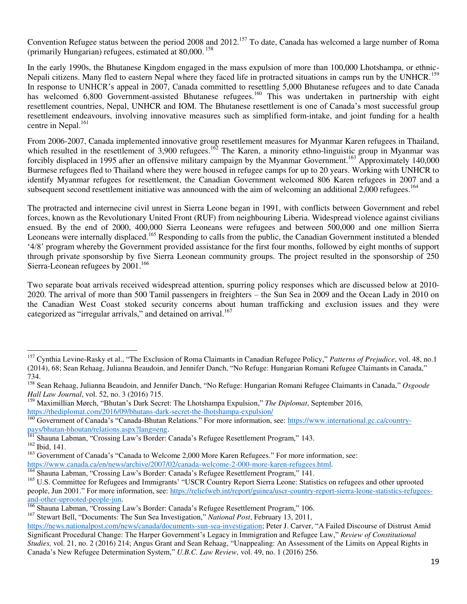Convention Refugee status between the period 2008 and  $2012$ <sup>157</sup> To date, Canada has welcomed a large number of Roma (primarily Hungarian) refugees, estimated at 80,000.<sup>158</sup>

In the early 1990s, the Bhutanese Kingdom engaged in the mass expulsion of more than 100,000 Lhotshampa, or ethnic-Nepali citizens. Many fled to eastern Nepal where they faced life in protracted situations in camps run by the UNHCR.<sup>159</sup> In response to UNHCR's appeal in 2007, Canada committed to resettling 5,000 Bhutanese refugees and to date Canada has welcomed 6,800 Government-assisted Bhutanese refugees.<sup>160</sup> This was undertaken in partnership with eight resettlement countries, Nepal, UNHCR and IOM. The Bhutanese resettlement is one of Canada's most successful group resettlement endeavours, involving innovative measures such as simplified form-intake, and joint funding for a health centre in Nepal.<sup>161</sup>

From 2006-2007, Canada implemented innovative group resettlement measures for Myanmar Karen refugees in Thailand, which resulted in the resettlement of 3,900 refugees.<sup>162</sup> The Karen, a minority ethno-linguistic group in Myanmar was forcibly displaced in 1995 after an offensive military campaign by the Myanmar Government.<sup>163</sup> Approximately 140,000 Burmese refugees fled to Thailand where they were housed in refugee camps for up to 20 years. Working with UNHCR to identify Myanmar refugees for resettlement, the Canadian Government welcomed 806 Karen refugees in 2007 and a subsequent second resettlement initiative was announced with the aim of welcoming an additional 2,000 refugees.<sup>164</sup>

The protracted and internecine civil unrest in Sierra Leone began in 1991, with conflicts between Government and rebel forces, known as the Revolutionary United Front (RUF) from neighbouring Liberia. Widespread violence against civilians ensued. By the end of 2000, 400,000 Sierra Leoneans were refugees and between 500,000 and one million Sierra Leoneans were internally displaced.<sup>165</sup> Responding to calls from the public, the Canadian Government instituted a blended '4/8' program whereby the Government provided assistance for the first four months, followed by eight months of support through private sponsorship by five Sierra Leonean community groups. The project resulted in the sponsorship of 250 Sierra-Leonean refugees by 2001.<sup>166</sup>

Two separate boat arrivals received widespread attention, spurring policy responses which are discussed below at 2010- 2020. The arrival of more than 500 Tamil passengers in freighters – the Sun Sea in 2009 and the Ocean Lady in 2010 on the Canadian West Coast stoked security concerns about human trafficking and exclusion issues and they were categorized as "irregular arrivals," and detained on arrival.<sup>167</sup>

<sup>157</sup> Cynthia Levine-Rasky et al., "The Exclusion of Roma Claimants in Canadian Refugee Policy," *Patterns of Prejudice*, vol. 48, no.1 (2014), 68; Sean Rehaag, Julianna Beaudoin, and Jennifer Danch, "No Refuge: Hungarian Romani Refugee Claimants in Canada," 734.

<sup>158</sup> Sean Rehaag, Julianna Beaudoin, and Jennifer Danch, "No Refuge: Hungarian Romani Refugee Claimants in Canada," *Osgoode Hall Law Journal*, vol. 52, no. 3 (2016) 715.

<sup>159</sup> Maximillian Mørch, "Bhutan's Dark Secret: The Lhotshampa Expulsion," *The Diplomat*, September 2016, <https://thediplomat.com/2016/09/bhutans-dark-secret-the-lhotshampa-expulsion/>

<sup>160</sup> Government of Canada's "Canada-Bhutan Relations." For more information, see: [https://www.international.gc.ca/country](https://www.international.gc.ca/country-pays/bhutan-bhoutan/relations.aspx?lang=eng)[pays/bhutan-bhoutan/relations.aspx?lang=eng.](https://www.international.gc.ca/country-pays/bhutan-bhoutan/relations.aspx?lang=eng)

<sup>&</sup>lt;sup>161</sup> Shauna Labman, "Crossing Law's Border: Canada's Refugee Resettlement Program," 143.

<sup>162</sup> Ibid, 141.

<sup>&</sup>lt;sup>163</sup> Government of Canada's "Canada to Welcome 2,000 More Karen Refugees." For more information, see:

[https://www.canada.ca/en/news/archive/2007/02/canada-welcome-2-000-more-karen-refugees.html.](https://www.canada.ca/en/news/archive/2007/02/canada-welcome-2-000-more-karen-refugees.html)

<sup>&</sup>lt;sup>164</sup> Shauna Labman, "Crossing Law's Border: Canada's Refugee Resettlement Program," 141.

<sup>&</sup>lt;sup>165</sup> U.S. Committee for Refugees and Immigrants' "USCR Country Report Sierra Leone: Statistics on refugees and other uprooted people, Jun 2001." For more information, see: [https://reliefweb.int/report/guinea/uscr-country-report-sierra-leone-statistics-refugees](https://reliefweb.int/report/guinea/uscr-country-report-sierra-leone-statistics-refugees-and-other-uprooted-people-jun)[and-other-uprooted-people-jun.](https://reliefweb.int/report/guinea/uscr-country-report-sierra-leone-statistics-refugees-and-other-uprooted-people-jun) 

<sup>166</sup> Shauna Labman, "Crossing Law's Border: Canada's Refugee Resettlement Program," 106.

<sup>167</sup> Stewart Bell, "Documents: The Sun Sea Investigation," *National Post*, February 13, 2011,

[https://news.nationalpost.com/news/canada/documents-sun-sea-investigation;](https://news.nationalpost.com/news/canada/documents-sun-sea-investigation) Peter J. Carver, "A Failed Discourse of Distrust Amid Significant Procedural Change: The Harper Government's Legacy in Immigration and Refugee Law," *Review of Constitutional Studies,* vol. 21, no. 2 (2016) 214; Angus Grant and Sean Rehaag, "Unappealing: An Assessment of the Limits on Appeal Rights in Canada's New Refugee Determination System," *U.B.C. Law Review,* vol. 49, no. 1 (2016) 256.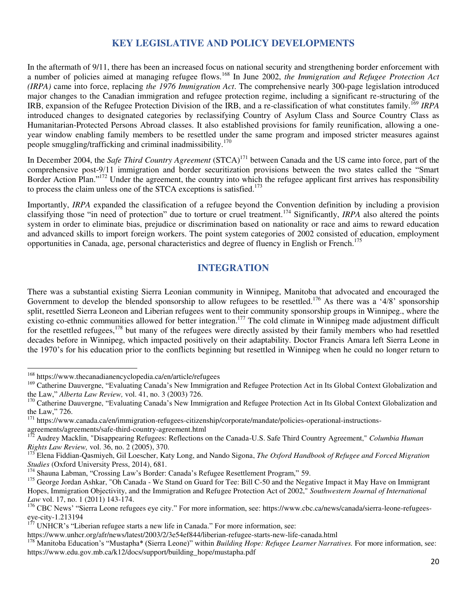#### **KEY LEGISLATIVE AND POLICY DEVELOPMENTS**

<span id="page-21-0"></span>In the aftermath of [9/11,](https://www.thecanadianencyclopedia.ca/en/article/canada-and-911/) there has been an increased focus on national security and strengthening border enforcement with a number of policies aimed at managing refugee flows.<sup>168</sup> In June 2002, *the Immigration and Refugee Protection Act (IRPA)* came into force, replacing *the 1976 Immigration Act*. The comprehensive nearly 300-page legislation introduced major changes to the Canadian immigration and refugee protection regime, including a significant re-structuring of the IRB, expansion of the Refugee Protection Division of the IRB, and a re-classification of what constitutes family.<sup>169</sup> *IRPA* introduced changes to designated categories by reclassifying Country of Asylum Class and Source Country Class as Humanitarian-Protected Persons Abroad classes. It also established provisions for family reunification, allowing a oneyear window enabling family members to be resettled under the same program and imposed stricter measures against people smuggling/trafficking and criminal inadmissibility.<sup>170</sup>

In December 2004, the *Safe Third Country Agreement* (STCA)<sup>171</sup> between Canada and the US came into force, part of the comprehensive post-9/11 immigration and border securitization provisions between the two states called the "Smart Border Action Plan."<sup>172</sup> Under the agreement, the country into which the refugee applicant first arrives has responsibility to process the claim unless one of the STCA exceptions is satisfied.<sup>173</sup>

Importantly, *IRPA* expanded the classification of a refugee beyond the Convention definition by including a provision classifying those "in need of protection" due to torture or cruel treatment.<sup>174</sup> Significantly, *IRPA* also altered the points system in order to eliminate bias, prejudice or discrimination based on nationality or race and aims to reward education and advanced skills to import foreign workers. The point system categories of 2002 consisted of education, employment opportunities in Canada, age, personal characteristics and degree of fluency in English or French.<sup>175</sup>

#### **INTEGRATION**

<span id="page-21-1"></span>There was a substantial existing Sierra Leonian community in Winnipeg, Manitoba that advocated and encouraged the Government to develop the blended sponsorship to allow refugees to be resettled.<sup>176</sup> As there was a '4/8' sponsorship split, resettled Sierra Leoneon and Liberian refugees went to their community sponsorship groups in Winnipeg., where the existing co-ethnic communities allowed for better integration.<sup>177</sup> The cold climate in Winnipeg made adjustment difficult for the resettled refugees,<sup>178</sup> but many of the refugees were directly assisted by their family members who had resettled decades before in Winnipeg, which impacted positively on their adaptability. Doctor Francis Amara left Sierra Leone in the 1970's for his education prior to the conflicts beginning but resettled in Winnipeg when he could no longer return to

-

<sup>&</sup>lt;sup>168</sup> https://www.thecanadianencyclopedia.ca/en/article/refugees

<sup>&</sup>lt;sup>169</sup> Catherine Dauvergne, "Evaluating Canada's New Immigration and Refugee Protection Act in Its Global Context Globalization and the Law," *Alberta Law Review,* vol. 41, no. 3 (2003) 726.

<sup>&</sup>lt;sup>170</sup> Catherine Dauvergne, "Evaluating Canada's New Immigration and Refugee Protection Act in Its Global Context Globalization and the Law," 726.

 $171$  https://www.canada.ca/en/immigration-refugees-citizenship/corporate/mandate/policies-operational-instructionsagreements/agreements/safe-third-country-agreement.html

<sup>172</sup> Audrey Macklin, "Disappearing Refugees: Reflections on the Canada-U.S. Safe Third Country Agreement," *Columbia Human Rights Law Review,* vol. 36, no. 2 (2005), 370.

<sup>173</sup> Elena Fiddian-Qasmiyeh, Gil Loescher, Katy Long, and Nando Sigona, *The Oxford Handbook of Refugee and Forced Migration Studies* (Oxford University Press, 2014), 681.

<sup>&</sup>lt;sup>174</sup> Shauna Labman, "Crossing Law's Border: Canada's Refugee Resettlement Program," 59.

<sup>&</sup>lt;sup>175</sup> George Jordan Ashkar, "Oh Canada - We Stand on Guard for Tee: Bill C-50 and the Negative Impact it May Have on Immigrant Hopes, Immigration Objectivity, and the Immigration and Refugee Protection Act of 2002," *Southwestern Journal of International Law* vol. 17, no. 1 (2011) 143-174.

<sup>&</sup>lt;sup>176</sup> CBC News' "Sierra Leone refugees eye city." For more information, see: https://www.cbc.ca/news/canada/sierra-leone-refugeeseye-city-1.213194

 $1^{17}$  UNHCR's "Liberian refugee starts a new life in Canada." For more information, see:

https://www.unhcr.org/afr/news/latest/2003/2/3e54ef844/liberian-refugee-starts-new-life-canada.html

<sup>&</sup>lt;sup>178</sup> Manitoba Education's "Mustapha\* (Sierra Leone)" within *Building Hope: Refugee Learner Narratives*. For more information, see: https://www.edu.gov.mb.ca/k12/docs/support/building\_hope/mustapha.pdf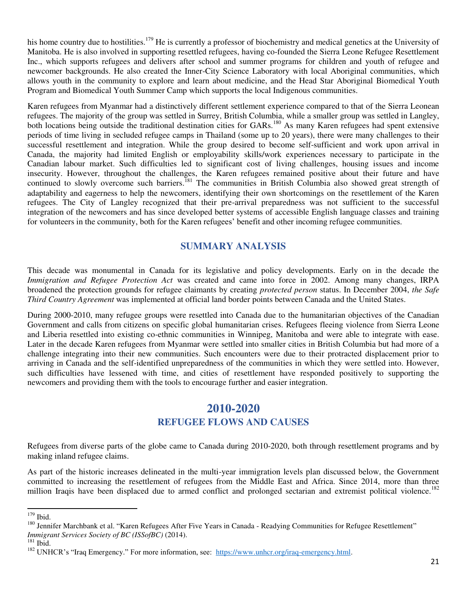his home country due to hostilities.<sup>179</sup> He is currently a professor of biochemistry and medical genetics at the University of Manitoba. He is also involved in supporting resettled refugees, having co-founded the Sierra Leone Refugee Resettlement Inc., which supports refugees and delivers after school and summer programs for children and youth of refugee and newcomer backgrounds. He also created the Inner-City Science Laboratory with local Aboriginal communities, which allows youth in the community to explore and learn about medicine, and the Head Star Aboriginal Biomedical Youth Program and Biomedical Youth Summer Camp which supports the local Indigenous communities.

Karen refugees from Myanmar had a distinctively different settlement experience compared to that of the Sierra Leonean refugees. The majority of the group was settled in Surrey, British Columbia, while a smaller group was settled in Langley, both locations being outside the traditional destination cities for GARs.<sup>180</sup> As many Karen refugees had spent extensive periods of time living in secluded refugee camps in Thailand (some up to 20 years), there were many challenges to their successful resettlement and integration. While the group desired to become self-sufficient and work upon arrival in Canada, the majority had limited English or employability skills/work experiences necessary to participate in the Canadian labour market. Such difficulties led to significant cost of living challenges, housing issues and income insecurity. However, throughout the challenges, the Karen refugees remained positive about their future and have continued to slowly overcome such barriers.<sup>181</sup> The communities in British Columbia also showed great strength of adaptability and eagerness to help the newcomers, identifying their own shortcomings on the resettlement of the Karen refugees. The City of Langley recognized that their pre-arrival preparedness was not sufficient to the successful integration of the newcomers and has since developed better systems of accessible English language classes and training for volunteers in the community, both for the Karen refugees' benefit and other incoming refugee communities.

#### **SUMMARY ANALYSIS**

<span id="page-22-0"></span>This decade was monumental in Canada for its legislative and policy developments. Early on in the decade the *Immigration and Refugee Protection Act* was created and came into force in 2002. Among many changes, IRPA broadened the protection grounds for refugee claimants by creating *protected person* status. In December 2004, *the Safe Third Country Agreement* was implemented at official land border points between Canada and the United States.

During 2000-2010, many refugee groups were resettled into Canada due to the humanitarian objectives of the Canadian Government and calls from citizens on specific global humanitarian crises. Refugees fleeing violence from Sierra Leone and Liberia resettled into existing co-ethnic communities in Winnipeg, Manitoba and were able to integrate with ease. Later in the decade Karen refugees from Myanmar were settled into smaller cities in British Columbia but had more of a challenge integrating into their new communities. Such encounters were due to their protracted displacement prior to arriving in Canada and the self-identified unpreparedness of the communities in which they were settled into. However, such difficulties have lessened with time, and cities of resettlement have responded positively to supporting the newcomers and providing them with the tools to encourage further and easier integration.

### **2010-2020**

#### **REFUGEE FLOWS AND CAUSES**

<span id="page-22-2"></span><span id="page-22-1"></span>Refugees from diverse parts of the globe came to Canada during 2010-2020, both through resettlement programs and by making inland refugee claims.

As part of the historic increases delineated in the multi-year immigration levels plan discussed below, the Government committed to increasing the resettlement of refugees from the Middle East and Africa. Since 2014, more than three million Iraqis have been displaced due to armed conflict and prolonged sectarian and extremist political violence.<sup>182</sup>

 $179$  Ibid.

<sup>&</sup>lt;sup>180</sup> Jennifer Marchbank et al. "Karen Refugees After Five Years in Canada - Readying Communities for Refugee Resettlement" *Immigrant Services Society of BC (ISSofBC)* (2014).

 $^{\rm 181}$  Ibid.

<sup>&</sup>lt;sup>182</sup> UNHCR's "Iraq Emergency." For more information, see: [https://www.unhcr.org/iraq-emergency.html.](https://www.unhcr.org/iraq-emergency.html)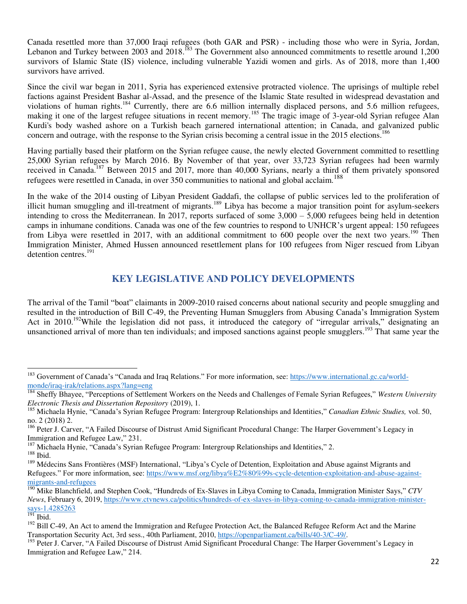Canada resettled more than 37,000 Iraqi refugees (both GAR and PSR) - including those who were in Syria, Jordan, Lebanon and Turkey between 2003 and 2018.<sup>183</sup> The Government also announced commitments to resettle around 1,200 survivors of Islamic State (IS) violence, including vulnerable Yazidi women and girls. As of 2018, more than 1,400 survivors have arrived.

Since the civil war began in 2011, Syria has experienced extensive protracted violence. The uprisings of multiple rebel factions against President Bashar al-Assad, and the presence of the Islamic State resulted in widespread devastation and violations of human rights.<sup>184</sup> Currently, there are 6.6 million internally displaced persons, and 5.6 million refugees, making it one of the largest refugee situations in recent memory.<sup>185</sup> The tragic image of 3-year-old Syrian refugee Alan Kurdi's body washed ashore on a Turkish beach garnered international attention; in Canada, and galvanized public concern and outrage, with the response to the Syrian crisis becoming a central issue in the 2015 elections.<sup>186</sup>

Having partially based their platform on the Syrian refugee cause, the newly elected Government committed to resettling 25,000 Syrian refugees by March 2016. By November of that year, over 33,723 Syrian refugees had been warmly received in Canada.<sup>187</sup> Between 2015 and 2017, more than 40,000 Syrians, nearly a third of them privately sponsored refugees were resettled in Canada, in over 350 communities to national and global acclaim.<sup>188</sup>

In the wake of the 2014 ousting of Libyan President Gaddafi, the collapse of public services led to the proliferation of illicit human smuggling and ill-treatment of migrants.<sup>189</sup> Libya has become a major transition point for asylum-seekers intending to cross the Mediterranean. In 2017, reports surfaced of some 3,000 – 5,000 refugees being held in detention camps in inhumane conditions. Canada was one of the few countries to respond to UNHCR's urgent appeal: 150 refugees from Libya were resettled in 2017, with an additional commitment to 600 people over the next two years.<sup>190</sup> Then Immigration Minister, Ahmed Hussen announced resettlement plans for 100 refugees from Niger rescued from Libyan detention centres.<sup>191</sup>

#### **KEY LEGISLATIVE AND POLICY DEVELOPMENTS**

<span id="page-23-0"></span>The arrival of the Tamil "boat" claimants in 2009-2010 raised concerns about national security and people smuggling and resulted in the introduction of Bill C-49, the Preventing Human Smugglers from Abusing Canada's Immigration System Act in 2010.<sup>192</sup>While the legislation did not pass, it introduced the category of "irregular arrivals," designating an unsanctioned arrival of more than ten individuals; and imposed sanctions against people smugglers.<sup>193</sup> That same year the

<sup>&</sup>lt;sup>183</sup> Government of Canada's "Canada and Iraq Relations." For more information, see: [https://www.international.gc.ca/world](https://www.international.gc.ca/world-monde/iraq-irak/relations.aspx?lang=eng)[monde/iraq-irak/relations.aspx?lang=eng](https://www.international.gc.ca/world-monde/iraq-irak/relations.aspx?lang=eng)

<sup>184</sup> Sheffy Bhayee, "Perceptions of Settlement Workers on the Needs and Challenges of Female Syrian Refugees," *Western University Electronic Thesis and Dissertation Repository* (2019), 1.

<sup>185</sup> Michaela Hynie, "Canada's Syrian Refugee Program: Intergroup Relationships and Identities," *Canadian Ethnic Studies,* vol. 50, no. 2 (2018) 2.

<sup>&</sup>lt;sup>186</sup> Peter J. Carver, "A Failed Discourse of Distrust Amid Significant Procedural Change: The Harper Government's Legacy in Immigration and Refugee Law," 231.

<sup>&</sup>lt;sup>187</sup> Michaela Hynie, "Canada's Syrian Refugee Program: Intergroup Relationships and Identities," 2.

 $^{188}$  Ibid.

<sup>&</sup>lt;sup>189</sup> Médecins Sans Frontières (MSF) International, "Libya's Cycle of Detention, Exploitation and Abuse against Migrants and Refugees." For more information, see: [https://www.msf.org/libya%E2%80%99s-cycle-detention-exploitation-and-abuse-against](https://www.msf.org/libya%E2%80%99s-cycle-detention-exploitation-and-abuse-against-migrants-and-refugees)[migrants-and-refugees](https://www.msf.org/libya%E2%80%99s-cycle-detention-exploitation-and-abuse-against-migrants-and-refugees)

<sup>190</sup> Mike Blanchfield, and Stephen Cook, "Hundreds of Ex-Slaves in Libya Coming to Canada, Immigration Minister Says," *CTV News*, February 6, 2019, [https://www.ctvnews.ca/politics/hundreds-of-ex-slaves-in-libya-coming-to-canada-immigration-minister](https://www.ctvnews.ca/politics/hundreds-of-ex-slaves-in-libya-coming-to-canada-immigration-minister-says-1.4285263)[says-1.4285263](https://www.ctvnews.ca/politics/hundreds-of-ex-slaves-in-libya-coming-to-canada-immigration-minister-says-1.4285263)

 $191$  Ibid.

<sup>&</sup>lt;sup>192</sup> Bill C-49, An Act to amend the Immigration and Refugee Protection Act, the Balanced Refugee Reform Act and the Marine Transportation Security Act, 3rd sess., 40th Parliament, 2010[, https://openparliament.ca/bills/40-3/C-49/.](https://openparliament.ca/bills/40-3/C-49/)

<sup>&</sup>lt;sup>193</sup> Peter J. Carver, "A Failed Discourse of Distrust Amid Significant Procedural Change: The Harper Government's Legacy in Immigration and Refugee Law," 214.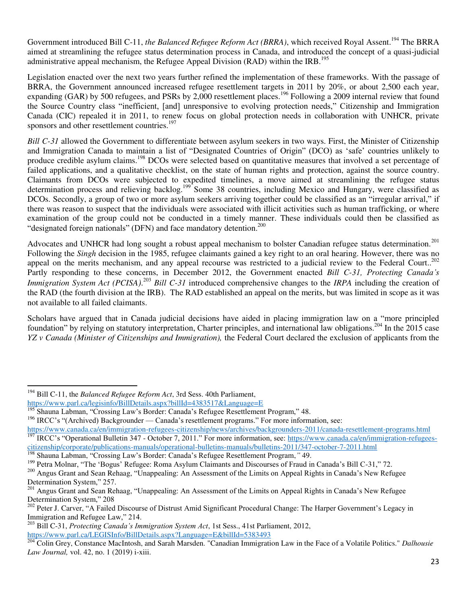Government introduced Bill C-11, *the Balanced Refugee Reform Act (BRRA)*, which received Royal Assent.<sup>194</sup> The BRRA aimed at streamlining the refugee status determination process in Canada, and introduced the concept of a quasi-judicial administrative appeal mechanism, the Refugee Appeal Division (RAD) within the IRB.<sup>195</sup>

Legislation enacted over the next two years further refined the implementation of these frameworks. With the passage of BRRA, the Government announced increased refugee resettlement targets in 2011 by 20%, or about 2,500 each year, expanding (GAR) by 500 refugees, and PSRs by 2,000 resettlement places.<sup>196</sup> Following a 2009 internal review that found the Source Country class "inefficient, [and] unresponsive to evolving protection needs," Citizenship and Immigration Canada (CIC) repealed it in 2011, to renew focus on global protection needs in collaboration with UNHCR, private sponsors and other resettlement countries.<sup>197</sup>

*Bill C-31* allowed the Government to differentiate between asylum seekers in two ways. First, the Minister of Citizenship and Immigration Canada to maintain a list of "Designated Countries of Origin" (DCO) as 'safe' countries unlikely to produce credible asylum claims.<sup>198</sup> DCOs were selected based on quantitative measures that involved a set percentage of failed applications, and a qualitative checklist, on the state of human rights and protection, against the source country. Claimants from DCOs were subjected to expedited timelines, a move aimed at streamlining the refugee status determination process and relieving backlog.<sup>199</sup> Some 38 countries, including Mexico and Hungary, were classified as DCOs. Secondly, a group of two or more asylum seekers arriving together could be classified as an "irregular arrival," if there was reason to suspect that the individuals were associated with illicit activities such as human trafficking, or where examination of the group could not be conducted in a timely manner. These individuals could then be classified as "designated foreign nationals" (DFN) and face mandatory detention.<sup>200</sup>

Advocates and UNHCR had long sought a robust appeal mechanism to bolster Canadian refugee status determination.<sup>201</sup> Following the *Singh* decision in the 1985, refugee claimants gained a key right to an oral hearing. However, there was no appeal on the merits mechanism, and any appeal recourse was restricted to a judicial review to the Federal Court..<sup>202</sup> Partly responding to these concerns, in December 2012, the Government enacted *Bill C-31, Protecting Canada's Immigration System Act (PCISA)*. <sup>203</sup> *Bill C-31* introduced comprehensive changes to the *IRPA* including the creation of the RAD (the fourth division at the IRB). The RAD established an appeal on the merits, but was limited in scope as it was not available to all failed claimants.

Scholars have argued that in Canada judicial decisions have aided in placing immigration law on a "more principled foundation" by relying on statutory interpretation, Charter principles, and international law obligations.<sup>204</sup> In the 2015 case *YZ v Canada (Minister of Citizenships and Immigration),* the Federal Court declared the exclusion of applicants from the

<sup>194</sup> Bill C-11, the *Balanced Refugee Reform Act*, 3rd Sess. 40th Parliament,

<https://www.parl.ca/legisinfo/BillDetails.aspx?billId=4383517&Language=E>

<sup>195</sup> Shauna Labman, "Crossing Law's Border: Canada's Refugee Resettlement Program," 48.

<sup>&</sup>lt;sup>196</sup> IRCC's "(Archived) Backgrounder — Canada's resettlement programs." For more information, see:

<https://www.canada.ca/en/immigration-refugees-citizenship/news/archives/backgrounders-2011/canada-resettlement-programs.html> <sup>197</sup> IRCC's "Operational Bulletin 347 - October 7, 2011." For more information, see: [https://www.canada.ca/en/immigration-refugees](https://www.canada.ca/en/immigration-refugees-citizenship/corporate/publications-manuals/operational-bulletins-manuals/bulletins-2011/347-october-7-2011.html)[citizenship/corporate/publications-manuals/operational-bulletins-manuals/bulletins-2011/347-october-7-2011.html](https://www.canada.ca/en/immigration-refugees-citizenship/corporate/publications-manuals/operational-bulletins-manuals/bulletins-2011/347-october-7-2011.html)

<sup>198</sup> Shauna Labman, "Crossing Law's Border: Canada's Refugee Resettlement Program,*"* 49.

<sup>&</sup>lt;sup>199</sup> Petra Molnar, "The 'Bogus' Refugee: Roma Asylum Claimants and Discourses of Fraud in Canada's Bill C-31," 72.

<sup>&</sup>lt;sup>200</sup> Angus Grant and Sean Rehaag, "Unappealing: An Assessment of the Limits on Appeal Rights in Canada's New Refugee Determination System," 257.

<sup>&</sup>lt;sup>201</sup> Angus Grant and Sean Rehaag, "Unappealing: An Assessment of the Limits on Appeal Rights in Canada's New Refugee Determination System," 208

<sup>&</sup>lt;sup>202</sup> Peter J. Carver, "A Failed Discourse of Distrust Amid Significant Procedural Change: The Harper Government's Legacy in Immigration and Refugee Law," 214.

<sup>203</sup> Bill C-31, *Protecting Canada's Immigration System Act*, 1st Sess., 41st Parliament, 2012, <https://www.parl.ca/LEGISInfo/BillDetails.aspx?Language=E&billId=5383493>

<sup>204</sup> Colin Grey, Constance MacIntosh, and Sarah Marsden. "Canadian Immigration Law in the Face of a Volatile Politics." *Dalhousie Law Journal,* vol. 42, no. 1 (2019) i-xiii.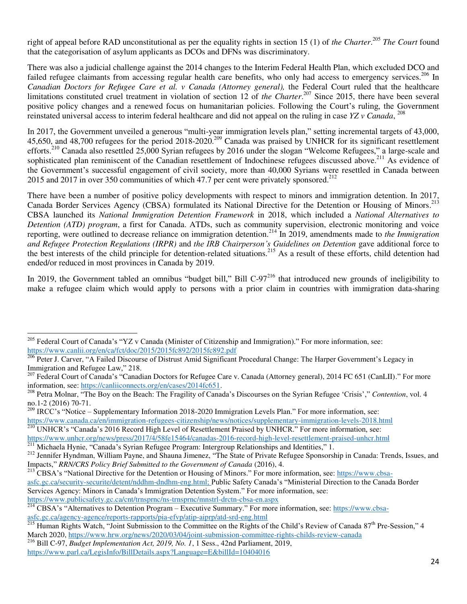right of appeal before RAD unconstitutional as per the equality rights in section 15 (1) of *the Charter*.<sup>205</sup> *The Court* found that the categorisation of asylum applicants as DCOs and DFNs was discriminatory.

There was also a judicial challenge against the 2014 changes to the Interim Federal Health Plan, which excluded DCO and failed refugee claimants from accessing regular health care benefits, who only had access to emergency services.<sup>206</sup> In *Canadian Doctors for Refugee Care et al. v Canada (Attorney general),* the Federal Court ruled that the healthcare limitations constituted cruel treatment in violation of section 12 of *the Charter*. <sup>207</sup> Since 2015, there have been several positive policy changes and a renewed focus on humanitarian policies. Following the Court's ruling, the Government reinstated universal access to interim federal healthcare and did not appeal on the ruling in case *YZ v Canada*, 208

In 2017, the Government unveiled a generous "multi-year immigration levels plan," setting incremental targets of 43,000, 45,650, and 48,700 refugees for the period 2018-2020.<sup>209</sup> Canada was praised by UNHCR for its significant resettlement efforts.<sup>210</sup> Canada also resettled 25,000 Syrian refugees by 2016 under the slogan "Welcome Refugees," a large-scale and sophisticated plan reminiscent of the Canadian resettlement of Indochinese refugees discussed above.<sup>211</sup> As evidence of the Government's successful engagement of civil society, more than 40,000 Syrians were resettled in Canada between 2015 and 2017 in over 350 communities of which 47.7 per cent were privately sponsored.<sup>212</sup>

There have been a number of positive policy developments with respect to minors and immigration detention. In 2017, Canada Border Services Agency (CBSA) formulated its National Directive for the Detention or Housing of Minors.<sup>213</sup> CBSA launched its *National Immigration Detention Framework* in 2018, which included a *National Alternatives to Detention (ATD) program*, a first for Canada. ATDs, such as community supervision, electronic monitoring and voice reporting, were outlined to decrease reliance on immigration detention.<sup>214</sup> In 2019, amendments made to *the Immigration and Refugee Protection Regulations (IRPR)* and *the IRB Chairperson's Guidelines on Detention* gave additional force to the best interests of the child principle for detention-related situations.<sup>215</sup> As a result of these efforts, child detention had ended/or reduced in most provinces in Canada by 2019.

In 2019, the Government tabled an omnibus "budget bill," Bill  $C-97<sup>216</sup>$  that introduced new grounds of ineligibility to make a refugee claim which would apply to persons with a prior claim in countries with immigration data-sharing

<sup>211</sup> Michaela Hynie, "Canada's Syrian Refugee Program: Intergroup Relationships and Identities," 1.

<sup>&</sup>lt;sup>205</sup> Federal Court of Canada's "YZ v Canada (Minister of Citizenship and Immigration)." For more information, see: <https://www.canlii.org/en/ca/fct/doc/2015/2015fc892/2015fc892.pdf>

<sup>&</sup>lt;sup>206</sup> Peter J. Carver, "A Failed Discourse of Distrust Amid Significant Procedural Change: The Harper Government's Legacy in Immigration and Refugee Law," 218.

<sup>&</sup>lt;sup>207</sup> Federal Court of Canada's "Canadian Doctors for Refugee Care v. Canada (Attorney general), 2014 FC 651 (CanLII)." For more information, see: [https://canliiconnects.org/en/cases/2014fc651.](https://canliiconnects.org/en/cases/2014fc651)

<sup>208</sup> Petra Molnar, "The Boy on the Beach: The Fragility of Canada's Discourses on the Syrian Refugee 'Crisis'," *Contention*, vol. 4 no.1-2 (2016) 70-71.

<sup>&</sup>lt;sup>209</sup> IRCC's "Notice – Supplementary Information 2018-2020 Immigration Levels Plan." For more information, see: <https://www.canada.ca/en/immigration-refugees-citizenship/news/notices/supplementary-immigration-levels-2018.html> <sup>210</sup> UNHCR's "Canada's 2016 Record High Level of Resettlement Praised by UNHCR." For more information, see: <https://www.unhcr.org/news/press/2017/4/58fe15464/canadas-2016-record-high-level-resettlement-praised-unhcr.html>

<sup>&</sup>lt;sup>212</sup> Jennifer Hyndman, William Payne, and Shauna Jimenez, "The State of Private Refugee Sponsorship in Canada: Trends, Issues, and Impacts," *RRN/CRS Policy Brief Submitted to the Government of Canada* (2016), 4.

<sup>&</sup>lt;sup>213</sup> CBSA's "National Directive for the Detention or Housing of Minors." For more information, see: [https://www.cbsa](https://www.cbsa-asfc.gc.ca/security-securite/detent/nddhm-dndhm-eng.html)[asfc.gc.ca/security-securite/detent/nddhm-dndhm-eng.html;](https://www.cbsa-asfc.gc.ca/security-securite/detent/nddhm-dndhm-eng.html) Public Safety Canada's "Ministerial Direction to the Canada Border Services Agency: Minors in Canada's Immigration Detention System." For more information, see: <https://www.publicsafety.gc.ca/cnt/trnsprnc/ns-trnsprnc/mnstrl-drctn-cbsa-en.aspx>

<sup>&</sup>lt;sup>214</sup> CBSA's "Alternatives to Detention Program – Executive Summary." For more information, see: [https://www.cbsa](https://www.cbsa-asfc.gc.ca/agency-agence/reports-rapports/pia-efvp/atip-aiprp/atd-srd-eng.html)[asfc.gc.ca/agency-agence/reports-rapports/pia-efvp/atip-aiprp/atd-srd-eng.html](https://www.cbsa-asfc.gc.ca/agency-agence/reports-rapports/pia-efvp/atip-aiprp/atd-srd-eng.html)

 $^{215}$  Human Rights Watch, "Joint Submission to the Committee on the Rights of the Child's Review of Canada 87<sup>th</sup> Pre-Session," 4 March 2020[, https://www.hrw.org/news/2020/03/04/joint-submission-committee-rights-childs-review-canada](https://www.hrw.org/news/2020/03/04/joint-submission-committee-rights-childs-review-canada)

<sup>216</sup> Bill C-97, *Budget Implementation Act, 2019, No. 1*, 1 Sess., 42nd Parliament, 2019, <https://www.parl.ca/LegisInfo/BillDetails.aspx?Language=E&billId=10404016>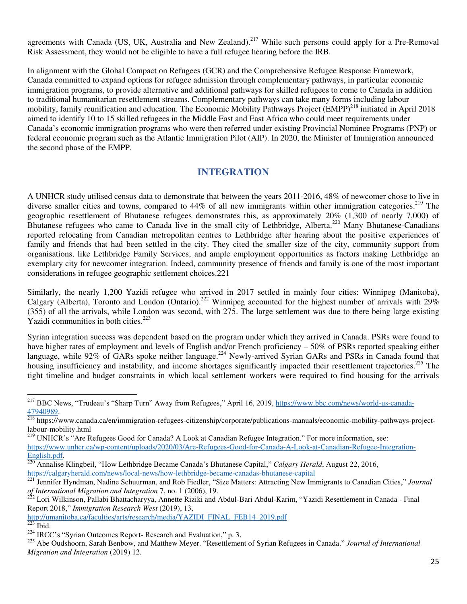agreements with Canada (US, UK, Australia and New Zealand).<sup>217</sup> While such persons could apply for a Pre-Removal Risk Assessment, they would not be eligible to have a full refugee hearing before the IRB.

In alignment with the Global Compact on Refugees (GCR) and the Comprehensive Refugee Response Framework, Canada committed to expand options for refugee admission through complementary pathways, in particular economic immigration programs, to provide alternative and additional pathways for skilled refugees to come to Canada in addition to traditional humanitarian resettlement streams. Complementary pathways can take many forms including labour mobility, family reunification and education. The Economic Mobility Pathways Project (EMPP)<sup>218</sup> initiated in April 2018 aimed to identify 10 to 15 skilled refugees in the Middle East and East Africa who could meet requirements under Canada's economic immigration programs who were then referred under existing Provincial Nominee Programs (PNP) or federal economic program such as the Atlantic Immigration Pilot (AIP). In 2020, the Minister of Immigration announced the second phase of the EMPP.

#### **INTEGRATION**

<span id="page-26-0"></span>A UNHCR study utilised census data to demonstrate that between the years 2011-2016, 48% of newcomer chose to live in diverse smaller cities and towns, compared to 44% of all new immigrants within other immigration categories.<sup>219</sup> The geographic resettlement of Bhutanese refugees demonstrates this, as approximately 20% (1,300 of nearly 7,000) of Bhutanese refugees who came to Canada live in the small city of Lethbridge, Alberta.<sup>220</sup> Many Bhutanese-Canadians reported relocating from Canadian metropolitan centres to Lethbridge after hearing about the positive experiences of family and friends that had been settled in the city. They cited the smaller size of the city, community support from organisations, like Lethbridge Family Services, and ample employment opportunities as factors making Lethbridge an exemplary city for newcomer integration. Indeed, community presence of friends and family is one of the most important considerations in refugee geographic settlement choices.221

Similarly, the nearly 1,200 Yazidi refugee who arrived in 2017 settled in mainly four cities: Winnipeg (Manitoba), Calgary (Alberta), Toronto and London (Ontario).<sup>222</sup> Winnipeg accounted for the highest number of arrivals with 29% (355) of all the arrivals, while London was second, with 275. The large settlement was due to there being large existing Yazidi communities in both cities.<sup>223</sup>

Syrian integration success was dependent based on the program under which they arrived in Canada. PSRs were found to have higher rates of employment and levels of English and/or French proficiency – 50% of PSRs reported speaking either language, while 92% of GARs spoke neither language.<sup>224</sup> Newly-arrived Syrian GARs and PSRs in Canada found that housing insufficiency and instability, and income shortages significantly impacted their resettlement trajectories.<sup>225</sup> The tight timeline and budget constraints in which local settlement workers were required to find housing for the arrivals

<sup>220</sup> Annalise Klingbeil, "How Lethbridge Became Canada's Bhutanese Capital," *Calgary Herald*, August 22, 2016, <https://calgaryherald.com/news/local-news/how-lethbridge-became-canadas-bhutanese-capital>

[http://umanitoba.ca/faculties/arts/research/media/YAZIDI\\_FINAL\\_FEB14\\_2019.pdf](http://umanitoba.ca/faculties/arts/research/media/YAZIDI_FINAL_FEB14_2019.pdf)  $\overline{\frac{223}{223}}$  Ibid.

<sup>&</sup>lt;sup>217</sup> BBC News, "Trudeau's "Sharp Turn" Away from Refugees," April 16, 2019, [https://www.bbc.com/news/world-us-canada-](https://www.bbc.com/news/world-us-canada-47940989)[47940989.](https://www.bbc.com/news/world-us-canada-47940989)

 $\frac{218}{18}$  https://www.canada.ca/en/immigration-refugees-citizenship/corporate/publications-manuals/economic-mobility-pathways-projectlabour-mobility.html

<sup>&</sup>lt;sup>219</sup> UNHCR's "Are Refugees Good for Canada? A Look at Canadian Refugee Integration." For more information, see: [https://www.unhcr.ca/wp-content/uploads/2020/03/Are-Refugees-Good-for-Canada-A-Look-at-Canadian-Refugee-Integration-](https://www.unhcr.ca/wp-content/uploads/2020/03/Are-Refugees-Good-for-Canada-A-Look-at-Canadian-Refugee-Integration-English.pdf)[English.pdf.](https://www.unhcr.ca/wp-content/uploads/2020/03/Are-Refugees-Good-for-Canada-A-Look-at-Canadian-Refugee-Integration-English.pdf) 

<sup>221</sup> Jennifer Hyndman, Nadine Schuurman, and Rob Fiedler, "Size Matters: Attracting New Immigrants to Canadian Cities," *Journal of International Migration and Integration* 7, no. 1 (2006), 19.<br><sup>222</sup> Lori Williams - D. U. U. Ci.

<sup>222</sup> Lori Wilkinson, Pallabi Bhattacharyya, Annette Riziki and Abdul-Bari Abdul-Karim, "Yazidi Resettlement in Canada - Final Report 2018," *Immigration Research West* (2019), 13,

<sup>&</sup>lt;sup>224</sup> IRCC's "Syrian Outcomes Report- Research and Evaluation," p. 3.

<sup>225</sup> Abe Oudshoorn, Sarah Benbow, and Matthew Meyer. "Resettlement of Syrian Refugees in Canada." *Journal of International Migration and Integration* (2019) 12.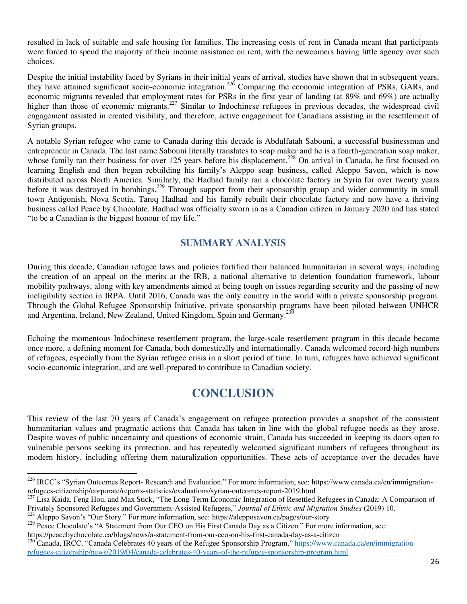resulted in lack of suitable and safe housing for families. The increasing costs of rent in Canada meant that participants were forced to spend the majority of their income assistance on rent, with the newcomers having little agency over such choices.

Despite the initial instability faced by Syrians in their initial years of arrival, studies have shown that in subsequent years, they have attained significant socio-economic integration.<sup>226</sup> Comparing the economic integration of PSRs, GARs, and economic migrants revealed that employment rates for PSRs in the first year of landing (at 89% and 69%) are actually higher than those of economic migrants.<sup>227</sup> Similar to Indochinese refugees in previous decades, the widespread civil engagement assisted in created visibility, and therefore, active engagement for Canadians assisting in the resettlement of Syrian groups.

A notable Syrian refugee who came to Canada during this decade is Abdulfatah Sabouni, a successful businessman and entrepreneur in Canada. The last name Sabouni literally translates to soap maker and he is a fourth-generation soap maker, whose family ran their business for over 125 years before his displacement.<sup>228</sup> On arrival in Canada, he first focused on learning English and then began rebuilding his family's Aleppo soap business, called Aleppo Savon, which is now distributed across North America. Similarly, the Hadhad family ran a chocolate factory in Syria for over twenty years before it was destroyed in bombings.<sup>229</sup> Through support from their sponsorship group and wider community in small town Antigonish, Nova Scotia, Tareq Hadhad and his family rebuilt their chocolate factory and now have a thriving business called Peace by Chocolate. Hadhad was officially sworn in as a Canadian citizen in January 2020 and has stated "to be a Canadian is the biggest honour of my life."

#### **SUMMARY ANALYSIS**

<span id="page-27-0"></span>During this decade, Canadian refugee laws and policies fortified their balanced humanitarian in several ways, including the creation of an appeal on the merits at the IRB, a national alternative to detention foundation framework, labour mobility pathways, along with key amendments aimed at being tough on issues regarding security and the passing of new ineligibility section in IRPA. Until 2016, Canada was the only country in the world with a private sponsorship program. Through the Global Refugee Sponsorship Initiative, private sponsorship programs have been piloted between UNHCR and Argentina, Ireland, New Zealand, United Kingdom, Spain and Germany.<sup>230</sup>

Echoing the momentous Indochinese resettlement program, the large-scale resettlement program in this decade became once more, a defining moment for Canada, both domestically and internationally. Canada welcomed record-high numbers of refugees, especially from the Syrian refugee crisis in a short period of time. In turn, refugees have achieved significant socio-economic integration, and are well-prepared to contribute to Canadian society.

## **CONCLUSION**

<span id="page-27-1"></span>This review of the last 70 years of Canada's engagement on refugee protection provides a snapshot of the consistent humanitarian values and pragmatic actions that Canada has taken in line with the global refugee needs as they arose. Despite waves of public uncertainty and questions of economic strain, Canada has succeeded in keeping its doors open to vulnerable persons seeking its protection, and has repeatedly welcomed significant numbers of refugees throughout its modern history, including offering them naturalization opportunities. These acts of acceptance over the decades have

<sup>&</sup>lt;sup>226</sup> IRCC's "Syrian Outcomes Report- Research and Evaluation." For more information, see: https://www.canada.ca/en/immigrationrefugees-citizenship/corporate/reports-statistics/evaluations/syrian-outcomes-report-2019.html

<sup>&</sup>lt;sup>227</sup> Lisa Kaida, Feng Hou, and Max Stick, "The Long-Term Economic Integration of Resettled Refugees in Canada: A Comparison of Privately Sponsored Refugees and Government-Assisted Refugees," *Journal of Ethnic and Migration Studies* (2019) 10.

<sup>228</sup> Aleppo Savon's "Our Story." For more information, see: https://alepposavon.ca/pages/our-story

<sup>&</sup>lt;sup>229</sup> Peace Chocolate's "A Statement from Our CEO on His First Canada Day as a Citizen." For more information, see: https://peacebychocolate.ca/blogs/news/a-statement-from-our-ceo-on-his-first-canada-day-as-a-citizen

<sup>&</sup>lt;sup>230</sup> Canada, IRCC, "Canada Celebrates 40 years of the Refugee Sponsorship Program," [https://www.canada.ca/en/immigration](https://www.canada.ca/en/immigration-refugees-citizenship/news/2019/04/canada-celebrates-40-years-of-the-refugee-sponsorship-program.html)[refugees-citizenship/news/2019/04/canada-celebrates-40-years-of-the-refugee-sponsorship-program.html](https://www.canada.ca/en/immigration-refugees-citizenship/news/2019/04/canada-celebrates-40-years-of-the-refugee-sponsorship-program.html)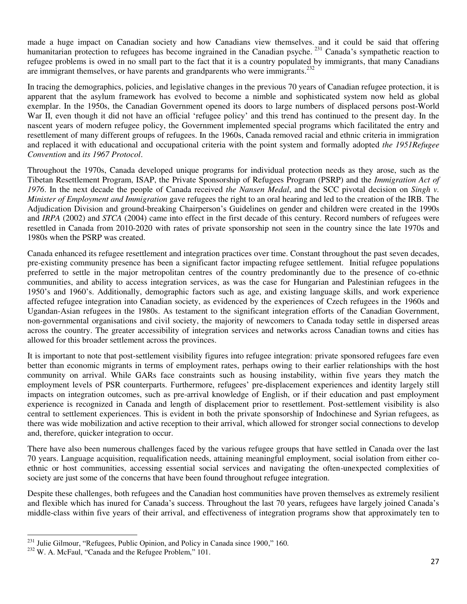made a huge impact on Canadian society and how Canadians view themselves. and it could be said that offering humanitarian protection to refugees has become ingrained in the Canadian psyche.<sup>231</sup> Canada's sympathetic reaction to refugee problems is owed in no small part to the fact that it is a country populated by immigrants, that many Canadians are immigrant themselves, or have parents and grandparents who were immigrants.<sup>232</sup>

In tracing the demographics, policies, and legislative changes in the previous 70 years of Canadian refugee protection, it is apparent that the asylum framework has evolved to become a nimble and sophisticated system now held as global exemplar. In the 1950s, the Canadian Government opened its doors to large numbers of displaced persons post-World War II, even though it did not have an official 'refugee policy' and this trend has continued to the present day. In the nascent years of modern refugee policy, the Government implemented special programs which facilitated the entry and resettlement of many different groups of refugees. In the 1960s, Canada removed racial and ethnic criteria in immigration and replaced it with educational and occupational criteria with the point system and formally adopted *the 1951Refugee Convention* and *its 1967 Protocol*.

Throughout the 1970s, Canada developed unique programs for individual protection needs as they arose, such as the Tibetan Resettlement Program, ISAP, the Private Sponsorship of Refugees Program (PSRP) and the *Immigration Act of 1976*. In the next decade the people of Canada received *the Nansen Medal*, and the SCC pivotal decision on *Singh v. Minister of Employment and Immigration* gave refugees the right to an oral hearing and led to the creation of the IRB. The Adjudication Division and ground-breaking Chairperson's Guidelines on gender and children were created in the 1990s and *IRPA* (2002) and *STCA* (2004) came into effect in the first decade of this century. Record numbers of refugees were resettled in Canada from 2010-2020 with rates of private sponsorship not seen in the country since the late 1970s and 1980s when the PSRP was created.

Canada enhanced its refugee resettlement and integration practices over time. Constant throughout the past seven decades, pre-existing community presence has been a significant factor impacting refugee settlement. Initial refugee populations preferred to settle in the major metropolitan centres of the country predominantly due to the presence of co-ethnic communities, and ability to access integration services, as was the case for Hungarian and Palestinian refugees in the 1950's and 1960's. Additionally, demographic factors such as age, and existing language skills, and work experience affected refugee integration into Canadian society, as evidenced by the experiences of Czech refugees in the 1960s and Ugandan-Asian refugees in the 1980s. As testament to the significant integration efforts of the Canadian Government, non-governmental organisations and civil society, the majority of newcomers to Canada today settle in dispersed areas across the country. The greater accessibility of integration services and networks across Canadian towns and cities has allowed for this broader settlement across the provinces.

It is important to note that post-settlement visibility figures into refugee integration: private sponsored refugees fare even better than economic migrants in terms of employment rates, perhaps owing to their earlier relationships with the host community on arrival. While GARs face constraints such as housing instability, within five years they match the employment levels of PSR counterparts. Furthermore, refugees' pre-displacement experiences and identity largely still impacts on integration outcomes, such as pre-arrival knowledge of English, or if their education and past employment experience is recognized in Canada and length of displacement prior to resettlement. Post-settlement visibility is also central to settlement experiences. This is evident in both the private sponsorship of Indochinese and Syrian refugees, as there was wide mobilization and active reception to their arrival, which allowed for stronger social connections to develop and, therefore, quicker integration to occur.

There have also been numerous challenges faced by the various refugee groups that have settled in Canada over the last 70 years. Language acquisition, requalification needs, attaining meaningful employment, social isolation from either coethnic or host communities, accessing essential social services and navigating the often-unexpected complexities of society are just some of the concerns that have been found throughout refugee integration.

Despite these challenges, both refugees and the Canadian host communities have proven themselves as extremely resilient and flexible which has inured for Canada's success. Throughout the last 70 years, refugees have largely joined Canada's middle-class within five years of their arrival, and effectiveness of integration programs show that approximately ten to

 $231$  Julie Gilmour, "Refugees, Public Opinion, and Policy in Canada since 1900," 160.

<sup>232</sup> W. A. McFaul, "Canada and the Refugee Problem," 101.